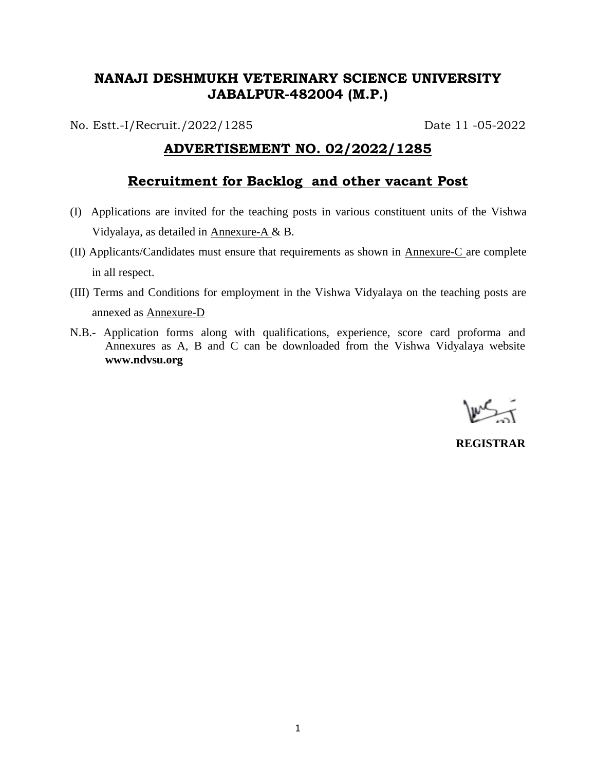## **NANAJI DESHMUKH VETERINARY SCIENCE UNIVERSITY JABALPUR-482004 (M.P.)**

No. Estt.-I/Recruit./2022/1285 Date 11 -05-2022

## **ADVERTISEMENT NO. 02/2022/1285**

## **Recruitment for Backlog and other vacant Post**

- (I) Applications are invited for the teaching posts in various constituent units of the Vishwa Vidyalaya, as detailed in Annexure-A & B.
- (II) Applicants/Candidates must ensure that requirements as shown in Annexure-C are complete in all respect.
- (III) Terms and Conditions for employment in the Vishwa Vidyalaya on the teaching posts are annexed as Annexure-D
- N.B.- Application forms along with qualifications, experience, score card proforma and Annexures as A, B and C can be downloaded from the Vishwa Vidyalaya website **www.ndvsu.org**

**REGISTRAR**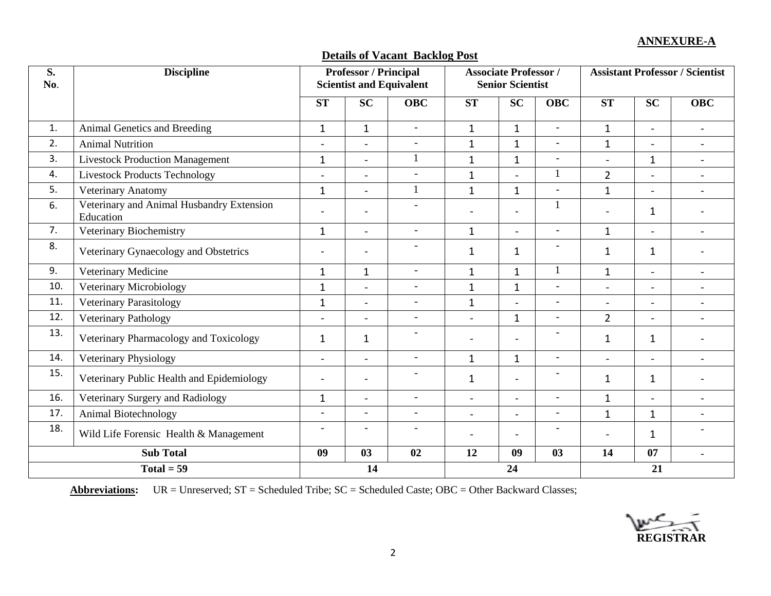### **ANNEXURE-A**

## **Details of Vacant Backlog Post**

| S.<br>No. | <b>Discipline</b>                                      |                          | <b>Professor / Principal</b><br><b>Scientist and Equivalent</b> |                          | <b>Associate Professor /</b><br><b>Senior Scientist</b> |                          |                          | <b>Assistant Professor / Scientist</b> |                |                          |
|-----------|--------------------------------------------------------|--------------------------|-----------------------------------------------------------------|--------------------------|---------------------------------------------------------|--------------------------|--------------------------|----------------------------------------|----------------|--------------------------|
|           |                                                        | <b>ST</b>                | <b>SC</b>                                                       | <b>OBC</b>               | <b>ST</b>                                               | <b>SC</b>                | <b>OBC</b>               | <b>ST</b>                              | <b>SC</b>      | <b>OBC</b>               |
| 1.        | Animal Genetics and Breeding                           | $\mathbf{1}$             | $\mathbf{1}$                                                    | $\overline{a}$           | $\mathbf{1}$                                            | $\mathbf{1}$             | $\blacksquare$           | $\mathbf{1}$                           | $\overline{a}$ | $\sim$                   |
| 2.        | <b>Animal Nutrition</b>                                | $\overline{\phantom{a}}$ | $\blacksquare$                                                  | $\overline{\phantom{a}}$ | $\mathbf{1}$                                            | $\mathbf{1}$             | $\overline{\phantom{a}}$ | $\mathbf{1}$                           | $\blacksquare$ | $\overline{\phantom{a}}$ |
| 3.        | <b>Livestock Production Management</b>                 | $\mathbf{1}$             | $\blacksquare$                                                  | $\mathbf{1}$             | $\mathbf{1}$                                            | $\mathbf{1}$             | $\overline{\phantom{a}}$ | $\blacksquare$                         | 1              | $\blacksquare$           |
| 4.        | <b>Livestock Products Technology</b>                   | $\sim$                   | $\overline{\phantom{0}}$                                        |                          | $\mathbf{1}$                                            |                          | $\mathbf{1}$             | $\overline{2}$                         | $\blacksquare$ | $\overline{a}$           |
| 5.        | Veterinary Anatomy                                     | $\mathbf{1}$             |                                                                 | $\mathbf{1}$             | $\mathbf{1}$                                            | $\mathbf{1}$             | $\blacksquare$           | $\mathbf 1$                            | $\overline{a}$ |                          |
| 6.        | Veterinary and Animal Husbandry Extension<br>Education | $\blacksquare$           | $\overline{\phantom{m}}$                                        | $\overline{\phantom{a}}$ | $\overline{\phantom{0}}$                                | $\overline{\phantom{0}}$ | 1                        |                                        | 1              |                          |
| 7.        | Veterinary Biochemistry                                |                          | $\overline{\phantom{a}}$                                        | $\overline{\phantom{a}}$ | $\mathbf{1}$                                            | $\overline{a}$           | $\overline{\phantom{a}}$ | $\mathbf 1$                            | $\blacksquare$ | $\blacksquare$           |
| 8.        | Veterinary Gynaecology and Obstetrics                  | $\overline{\phantom{0}}$ |                                                                 |                          | $\mathbf{1}$                                            | $\mathbf{1}$             |                          | $\mathbf{1}$                           | 1              |                          |
| 9.        | Veterinary Medicine                                    | $\mathbf{1}$             | $\mathbf{1}$                                                    | $\blacksquare$           | $\mathbf{1}$                                            | $\mathbf{1}$             |                          | $\mathbf{1}$                           | $\blacksquare$ | $\overline{a}$           |
| 10.       | Veterinary Microbiology                                | $\mathbf{1}$             | $\blacksquare$                                                  | $\blacksquare$           | $\mathbf{1}$                                            | $\mathbf{1}$             | $\overline{\phantom{a}}$ | $\overline{a}$                         | $\blacksquare$ | $\overline{\phantom{a}}$ |
| 11.       | Veterinary Parasitology                                | $\mathbf{1}$             |                                                                 | $\blacksquare$           | $\mathbf{1}$                                            | $\overline{a}$           | $\overline{\phantom{a}}$ |                                        | $\blacksquare$ |                          |
| 12.       | Veterinary Pathology                                   | $\overline{a}$           |                                                                 | $\equiv$                 | $\overline{a}$                                          | $\mathbf{1}$             | $\blacksquare$           | $\overline{2}$                         |                |                          |
| 13.       | Veterinary Pharmacology and Toxicology                 | $\mathbf 1$              | $\mathbf{1}$                                                    | $\overline{\phantom{a}}$ | $\overline{\phantom{0}}$                                | $\blacksquare$           | $\overline{\phantom{a}}$ | $\mathbf{1}$                           | 1              |                          |
| 14.       | Veterinary Physiology                                  | $\overline{\phantom{a}}$ |                                                                 | $\overline{a}$           | $\mathbf{1}$                                            | $\mathbf{1}$             | $\overline{\phantom{a}}$ |                                        | $\blacksquare$ |                          |
| 15.       | Veterinary Public Health and Epidemiology              | $\overline{\phantom{a}}$ | $\blacksquare$                                                  | $\overline{\phantom{a}}$ | $\mathbf{1}$                                            | $\overline{\phantom{a}}$ |                          | $\mathbf{1}$                           | 1              |                          |
| 16.       | Veterinary Surgery and Radiology                       | $\mathbf{1}$             | $\overline{\phantom{0}}$                                        | $\blacksquare$           | $\blacksquare$                                          | $\overline{\phantom{0}}$ | $\blacksquare$           | $\mathbf{1}$                           | $\blacksquare$ | $\sim$                   |
| 17.       | Animal Biotechnology                                   | $\overline{a}$           |                                                                 | $\overline{a}$           | $\overline{a}$                                          |                          | $\overline{a}$           | $\mathbf 1$                            | $\mathbf{1}$   |                          |
| 18.       | Wild Life Forensic Health & Management                 | $\overline{a}$           | $\overline{\phantom{0}}$                                        | $\overline{a}$           | $\overline{a}$                                          | $\overline{\phantom{a}}$ | $\overline{a}$           | $\overline{\phantom{0}}$               | 1              |                          |
|           | <b>Sub Total</b>                                       | 09                       | 03                                                              | 02                       | 12                                                      | 09                       | 03                       | 14                                     | 07             | $\blacksquare$           |
|           | $Total = 59$                                           |                          | 14                                                              |                          |                                                         | 24                       |                          |                                        | 21             |                          |

**Abbreviations:** UR = Unreserved; ST = Scheduled Tribe; SC = Scheduled Caste; OBC = Other Backward Classes;

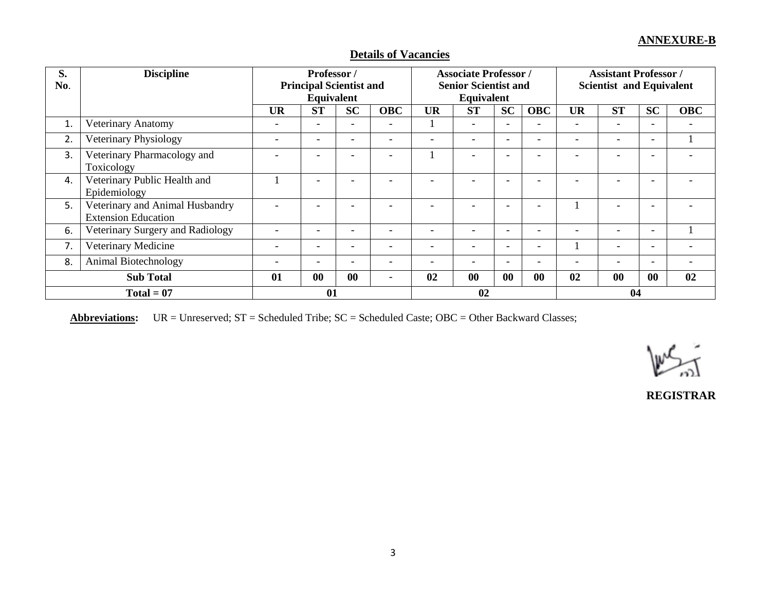| S.<br>No.                  | <b>Discipline</b>                                             |                          | Professor /<br><b>Principal Scientist and</b><br>Equivalent |                          | <b>Associate Professor /</b><br><b>Senior Scientist and</b><br>Equivalent |                          |                          | <b>Assistant Professor</b> /<br><b>Scientist and Equivalent</b> |                          |                          |                          |                          |            |
|----------------------------|---------------------------------------------------------------|--------------------------|-------------------------------------------------------------|--------------------------|---------------------------------------------------------------------------|--------------------------|--------------------------|-----------------------------------------------------------------|--------------------------|--------------------------|--------------------------|--------------------------|------------|
|                            |                                                               | <b>UR</b>                | <b>ST</b>                                                   | <b>SC</b>                | <b>OBC</b>                                                                | <b>UR</b>                | <b>ST</b>                | <b>SC</b>                                                       | <b>OBC</b>               | <b>UR</b>                | <b>ST</b>                | <b>SC</b>                | <b>OBC</b> |
| 1.                         | Veterinary Anatomy                                            |                          | $\overline{\phantom{a}}$                                    | $\overline{\phantom{a}}$ | $\overline{\phantom{a}}$                                                  |                          |                          | $\overline{\phantom{a}}$                                        |                          | $\overline{\phantom{0}}$ | $\overline{\phantom{0}}$ |                          |            |
| 2.                         | Veterinary Physiology                                         |                          |                                                             | $\qquad \qquad -$        |                                                                           |                          | -                        | $\overline{\phantom{a}}$                                        |                          | $\overline{\phantom{0}}$ | $\overline{\phantom{0}}$ | $\overline{\phantom{0}}$ |            |
| 3.                         | Veterinary Pharmacology and<br>Toxicology                     |                          |                                                             |                          |                                                                           |                          |                          | ٠                                                               |                          |                          |                          |                          |            |
| 4.                         | Veterinary Public Health and<br>Epidemiology                  |                          |                                                             | ۰                        |                                                                           |                          |                          |                                                                 |                          |                          |                          |                          |            |
| 5.                         | Veterinary and Animal Husbandry<br><b>Extension Education</b> |                          |                                                             | ۰                        |                                                                           |                          |                          | $\overline{\phantom{0}}$                                        |                          |                          | $\overline{\phantom{0}}$ |                          |            |
| 6.                         | Veterinary Surgery and Radiology                              |                          | $\overline{\phantom{0}}$                                    | $\qquad \qquad -$        | $\overline{\phantom{0}}$                                                  | $\overline{\phantom{0}}$ | -                        | $\overline{\phantom{a}}$                                        | $\overline{\phantom{0}}$ | $\overline{\phantom{0}}$ | $\overline{\phantom{0}}$ | $\sim$                   |            |
| 7.                         | Veterinary Medicine                                           | $\overline{\phantom{a}}$ | $\overline{\phantom{a}}$                                    | $\overline{\phantom{a}}$ | $\overline{\phantom{0}}$                                                  | $\overline{\phantom{0}}$ | $\overline{\phantom{0}}$ | $\overline{\phantom{a}}$                                        | $\overline{\phantom{0}}$ |                          | -                        | $\overline{\phantom{a}}$ |            |
| Animal Biotechnology<br>8. |                                                               | $\overline{\phantom{0}}$ | $\overline{\phantom{a}}$                                    | $\overline{\phantom{0}}$ | $\overline{\phantom{0}}$                                                  |                          | -                        | $\overline{\phantom{a}}$                                        |                          | $\overline{\phantom{a}}$ | $\overline{\phantom{0}}$ | $\overline{\phantom{0}}$ |            |
|                            | <b>Sub Total</b>                                              | 01                       | $\bf{00}$                                                   | 00                       | $\overline{\phantom{0}}$                                                  | 02                       | 00                       | 00                                                              | $\bf{00}$                | 02                       | 00                       | 00                       | 02         |
|                            | $Total = 07$                                                  |                          | 01                                                          |                          |                                                                           |                          | 02                       |                                                                 |                          |                          | 04                       |                          |            |

## **Details of Vacancies**

**Abbreviations:** UR = Unreserved; ST = Scheduled Tribe; SC = Scheduled Caste; OBC = Other Backward Classes;



**REGISTRAR**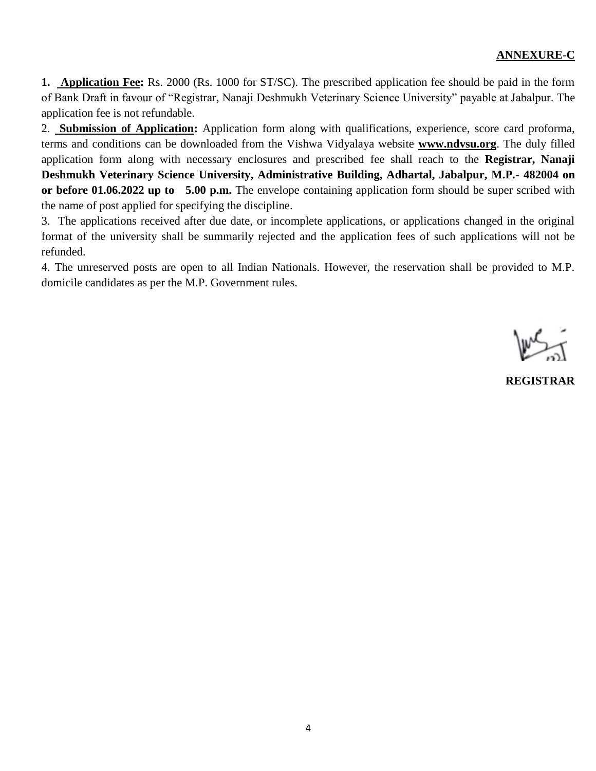### **ANNEXURE**-**C**

**1. Application Fee:** Rs. 2000 (Rs. 1000 for ST/SC). The prescribed application fee should be paid in the form of Bank Draft in favour of "Registrar, Nanaji Deshmukh Veterinary Science University" payable at Jabalpur. The application fee is not refundable.

2. **Submission of Application:** Application form along with qualifications, experience, score card proforma, terms and conditions can be downloaded from the Vishwa Vidyalaya website **www.ndvsu.org**. The duly filled application form along with necessary enclosures and prescribed fee shall reach to the **Registrar, Nanaji Deshmukh Veterinary Science University, Administrative Building, Adhartal, Jabalpur, M.P.- 482004 on or before 01.06.2022 up to 5.00 p.m.** The envelope containing application form should be super scribed with the name of post applied for specifying the discipline.

3. The applications received after due date, or incomplete applications, or applications changed in the original format of the university shall be summarily rejected and the application fees of such applications will not be refunded.

4. The unreserved posts are open to all Indian Nationals. However, the reservation shall be provided to M.P. domicile candidates as per the M.P. Government rules.

**REGISTRAR**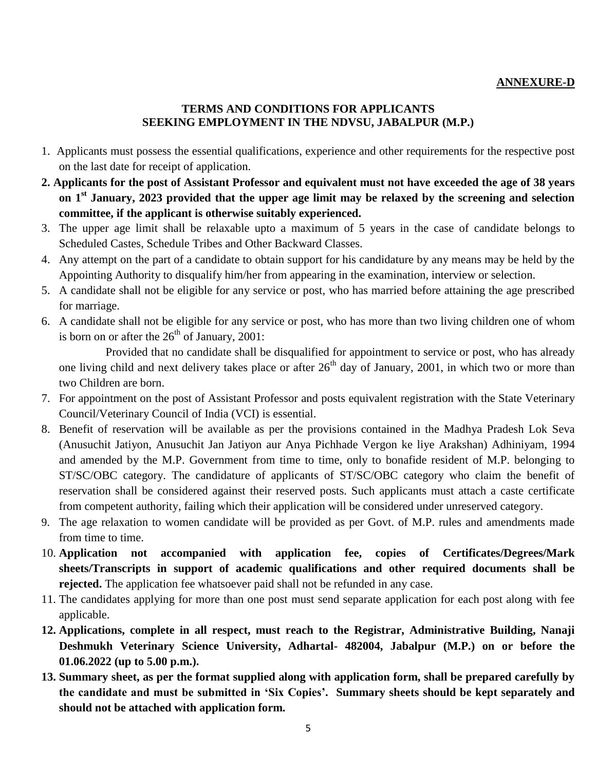### **ANNEXURE-D**

#### **TERMS AND CONDITIONS FOR APPLICANTS SEEKING EMPLOYMENT IN THE NDVSU, JABALPUR (M.P.)**

- 1. Applicants must possess the essential qualifications, experience and other requirements for the respective post on the last date for receipt of application.
- **2. Applicants for the post of Assistant Professor and equivalent must not have exceeded the age of 38 years on 1 st January, 2023 provided that the upper age limit may be relaxed by the screening and selection committee, if the applicant is otherwise suitably experienced.**
- 3. The upper age limit shall be relaxable upto a maximum of 5 years in the case of candidate belongs to Scheduled Castes, Schedule Tribes and Other Backward Classes.
- 4. Any attempt on the part of a candidate to obtain support for his candidature by any means may be held by the Appointing Authority to disqualify him/her from appearing in the examination, interview or selection.
- 5. A candidate shall not be eligible for any service or post, who has married before attaining the age prescribed for marriage.
- 6. A candidate shall not be eligible for any service or post, who has more than two living children one of whom is born on or after the  $26<sup>th</sup>$  of January, 2001:

 Provided that no candidate shall be disqualified for appointment to service or post, who has already one living child and next delivery takes place or after  $26<sup>th</sup>$  day of January, 2001, in which two or more than two Children are born.

- 7. For appointment on the post of Assistant Professor and posts equivalent registration with the State Veterinary Council/Veterinary Council of India (VCI) is essential.
- 8. Benefit of reservation will be available as per the provisions contained in the Madhya Pradesh Lok Seva (Anusuchit Jatiyon, Anusuchit Jan Jatiyon aur Anya Pichhade Vergon ke liye Arakshan) Adhiniyam, 1994 and amended by the M.P. Government from time to time, only to bonafide resident of M.P. belonging to ST/SC/OBC category. The candidature of applicants of ST/SC/OBC category who claim the benefit of reservation shall be considered against their reserved posts. Such applicants must attach a caste certificate from competent authority, failing which their application will be considered under unreserved category.
- 9. The age relaxation to women candidate will be provided as per Govt. of M.P. rules and amendments made from time to time.
- 10. **Application not accompanied with application fee, copies of Certificates/Degrees/Mark sheets/Transcripts in support of academic qualifications and other required documents shall be rejected.** The application fee whatsoever paid shall not be refunded in any case.
- 11. The candidates applying for more than one post must send separate application for each post along with fee applicable.
- **12. Applications, complete in all respect, must reach to the Registrar, Administrative Building, Nanaji Deshmukh Veterinary Science University, Adhartal- 482004, Jabalpur (M.P.) on or before the 01.06.2022 (up to 5.00 p.m.).**
- **13. Summary sheet, as per the format supplied along with application form, shall be prepared carefully by the candidate and must be submitted in "Six Copies". Summary sheets should be kept separately and should not be attached with application form.**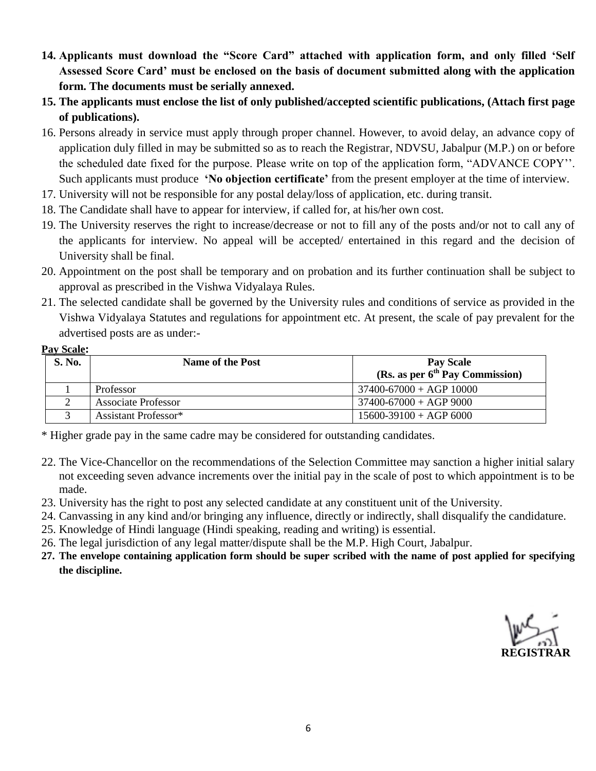- **14. Applicants must download the "Score Card" attached with application form, and only filled "Self Assessed Score Card" must be enclosed on the basis of document submitted along with the application form. The documents must be serially annexed.**
- **15. The applicants must enclose the list of only published/accepted scientific publications, (Attach first page of publications).**
- 16. Persons already in service must apply through proper channel. However, to avoid delay, an advance copy of application duly filled in may be submitted so as to reach the Registrar, NDVSU, Jabalpur (M.P.) on or before the scheduled date fixed for the purpose. Please write on top of the application form, "ADVANCE COPY''. Such applicants must produce **'No objection certificate'** from the present employer at the time of interview.
- 17. University will not be responsible for any postal delay/loss of application, etc. during transit.
- 18. The Candidate shall have to appear for interview, if called for, at his/her own cost.
- 19. The University reserves the right to increase/decrease or not to fill any of the posts and/or not to call any of the applicants for interview. No appeal will be accepted/ entertained in this regard and the decision of University shall be final.
- 20. Appointment on the post shall be temporary and on probation and its further continuation shall be subject to approval as prescribed in the Vishwa Vidyalaya Rules.
- 21. The selected candidate shall be governed by the University rules and conditions of service as provided in the Vishwa Vidyalaya Statutes and regulations for appointment etc. At present, the scale of pay prevalent for the advertised posts are as under:-

#### **Pay Scale:**

| S. No. | <b>Name of the Post</b>          | <b>Pay Scale</b><br>(Rs. as per $6th$ Pay Commission) |
|--------|----------------------------------|-------------------------------------------------------|
|        | Professor                        | $37400 - 67000 + AGP$ 10000                           |
|        | <b>Associate Professor</b>       | $37400 - 67000 + AGP9000$                             |
|        | Assistant Professor <sup>*</sup> | $15600-39100 + AGP 6000$                              |

\* Higher grade pay in the same cadre may be considered for outstanding candidates.

- 22. The Vice-Chancellor on the recommendations of the Selection Committee may sanction a higher initial salary not exceeding seven advance increments over the initial pay in the scale of post to which appointment is to be made.
- 23. University has the right to post any selected candidate at any constituent unit of the University.
- 24. Canvassing in any kind and/or bringing any influence, directly or indirectly, shall disqualify the candidature.
- 25. Knowledge of Hindi language (Hindi speaking, reading and writing) is essential.
- 26. The legal jurisdiction of any legal matter/dispute shall be the M.P. High Court, Jabalpur.
- **27. The envelope containing application form should be super scribed with the name of post applied for specifying the discipline.**

**REGISTRAR**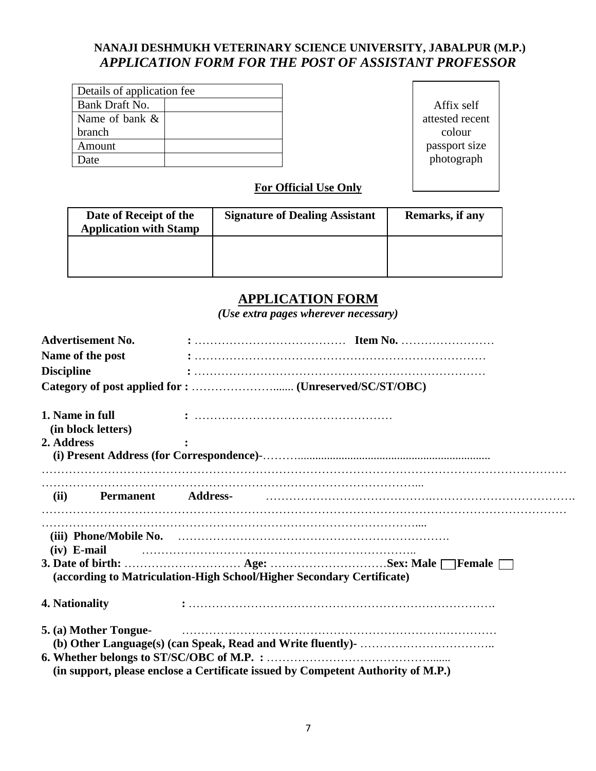## **NANAJI DESHMUKH VETERINARY SCIENCE UNIVERSITY, JABALPUR (M.P.)** *APPLICATION FORM FOR THE POST OF ASSISTANT PROFESSOR*

|                   | Details of application fee |  |  |  |  |  |
|-------------------|----------------------------|--|--|--|--|--|
| Bank Draft No.    |                            |  |  |  |  |  |
| Name of bank $\&$ |                            |  |  |  |  |  |
| branch            |                            |  |  |  |  |  |
| Amount            |                            |  |  |  |  |  |
| Date              |                            |  |  |  |  |  |

Affix self attested recent colour passport size photograph

## **For Official Use Only**

| Date of Receipt of the<br><b>Application with Stamp</b> | <b>Signature of Dealing Assistant</b> | Remarks, if any |
|---------------------------------------------------------|---------------------------------------|-----------------|
|                                                         |                                       |                 |

## **APPLICATION FORM**

*(Use extra pages wherever necessary)*

|                   | <b>Advertisement No.</b> |                                                                       | $: \ldots \ldots \ldots \ldots \ldots \ldots \ldots \ldots \ldots \text{Item No.} \ldots \ldots \ldots \ldots \ldots \ldots$ |  |
|-------------------|--------------------------|-----------------------------------------------------------------------|------------------------------------------------------------------------------------------------------------------------------|--|
|                   | Name of the post         |                                                                       |                                                                                                                              |  |
| <b>Discipline</b> |                          |                                                                       |                                                                                                                              |  |
|                   |                          |                                                                       |                                                                                                                              |  |
| 1. Name in full   |                          |                                                                       |                                                                                                                              |  |
|                   | (in block letters)       |                                                                       |                                                                                                                              |  |
| 2. Address        |                          |                                                                       |                                                                                                                              |  |
|                   |                          |                                                                       |                                                                                                                              |  |
| $(iv)$ E-mail     |                          |                                                                       |                                                                                                                              |  |
|                   |                          | (according to Matriculation-High School/Higher Secondary Certificate) |                                                                                                                              |  |
| 4. Nationality    |                          |                                                                       |                                                                                                                              |  |
|                   |                          |                                                                       |                                                                                                                              |  |
|                   |                          |                                                                       |                                                                                                                              |  |
|                   |                          |                                                                       | (in support, please enclose a Certificate issued by Competent Authority of M.P.)                                             |  |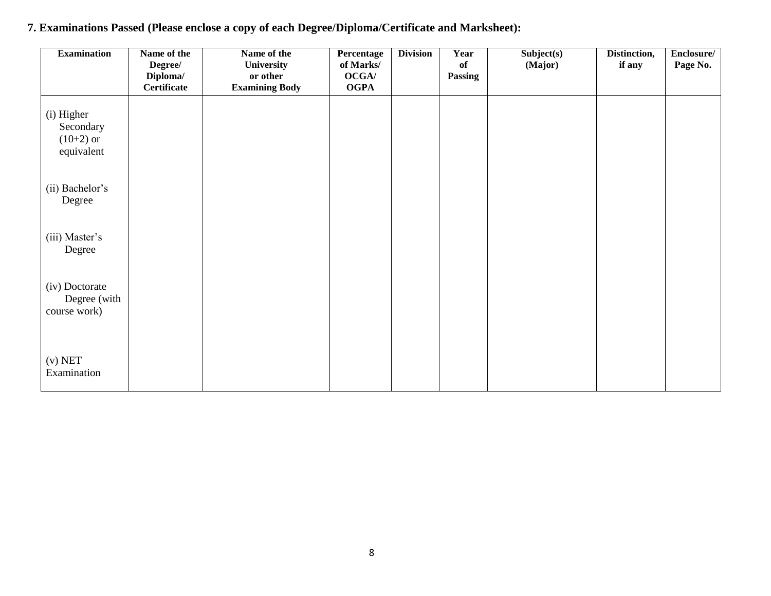| <b>Examination</b>                                   | Name of the<br>Degree/  | Name of the<br>University         | Percentage<br>of Marks/ | <b>Division</b> | Year<br>of | Subject(s)<br>(Major) | Distinction,<br>if any | Enclosure/<br>Page No. |
|------------------------------------------------------|-------------------------|-----------------------------------|-------------------------|-----------------|------------|-----------------------|------------------------|------------------------|
|                                                      | Diploma/<br>Certificate | or other<br><b>Examining Body</b> | OCGA/<br><b>OGPA</b>    |                 | Passing    |                       |                        |                        |
| (i) Higher<br>Secondary<br>$(10+2)$ or<br>equivalent |                         |                                   |                         |                 |            |                       |                        |                        |
| (ii) Bachelor's<br>Degree                            |                         |                                   |                         |                 |            |                       |                        |                        |
| (iii) Master's<br>Degree                             |                         |                                   |                         |                 |            |                       |                        |                        |
| (iv) Doctorate<br>Degree (with<br>course work)       |                         |                                   |                         |                 |            |                       |                        |                        |
| $(v)$ NET<br>Examination                             |                         |                                   |                         |                 |            |                       |                        |                        |

# **7. Examinations Passed (Please enclose a copy of each Degree/Diploma/Certificate and Marksheet):**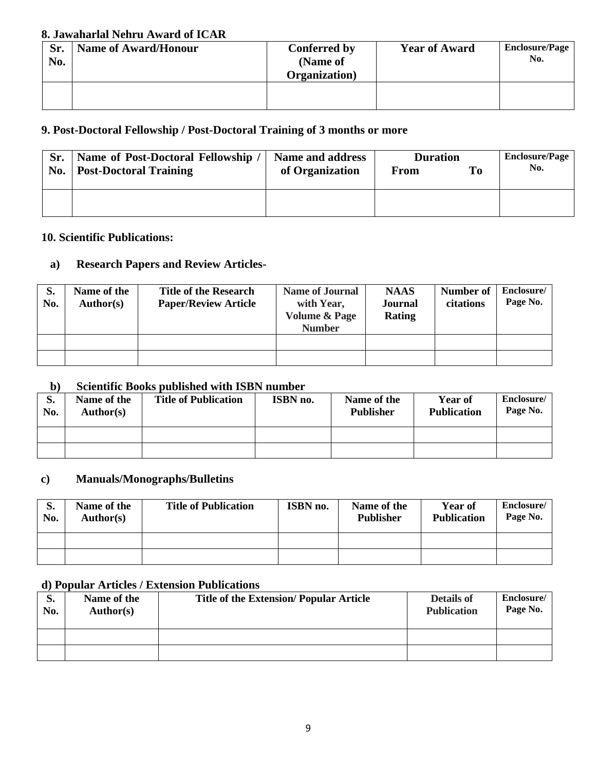## **8. Jawaharlal Nehru Award of ICAR**

| Sr.<br>No. | <b>Name of Award/Honour</b> | <b>Conferred by</b><br>(Name of<br>Organization) | <b>Year of Award</b> | <b>Enclosure/Page</b><br>No. |
|------------|-----------------------------|--------------------------------------------------|----------------------|------------------------------|
|            |                             |                                                  |                      |                              |

## **9. Post-Doctoral Fellowship / Post-Doctoral Training of 3 months or more**

| Sr. | Name of Post-Doctoral Fellowship / | <b>Name and address</b> | <b>Duration</b> | <b>Enclosure/Page</b> |     |
|-----|------------------------------------|-------------------------|-----------------|-----------------------|-----|
| No. | <b>Post-Doctoral Training</b>      | of Organization         | From            | To                    | No. |
|     |                                    |                         |                 |                       |     |
|     |                                    |                         |                 |                       |     |
|     |                                    |                         |                 |                       |     |

## **10. Scientific Publications:**

## **a) Research Papers and Review Articles-**

| S.<br>No. | Name of the<br><b>Author(s)</b> | <b>Title of the Research</b><br><b>Paper/Review Article</b> | <b>Name of Journal</b><br>with Year,<br><b>Volume &amp; Page</b><br><b>Number</b> | <b>NAAS</b><br>Journal<br>Rating | Number of<br>citations | Enclosure/<br>Page No. |
|-----------|---------------------------------|-------------------------------------------------------------|-----------------------------------------------------------------------------------|----------------------------------|------------------------|------------------------|
|           |                                 |                                                             |                                                                                   |                                  |                        |                        |
|           |                                 |                                                             |                                                                                   |                                  |                        |                        |

### **b) Scientific Books published with ISBN number**

| $\sim$ ,  | <u>U vlvilili v U v lid da vlidi v u svil loti i ilulili v u </u> |                             |                 |                                 |                               |                        |  |  |  |
|-----------|-------------------------------------------------------------------|-----------------------------|-----------------|---------------------------------|-------------------------------|------------------------|--|--|--|
| d.<br>No. | Name of the<br>Author(s)                                          | <b>Title of Publication</b> | <b>ISBN</b> no. | Name of the<br><b>Publisher</b> | Year of<br><b>Publication</b> | Enclosure/<br>Page No. |  |  |  |
|           |                                                                   |                             |                 |                                 |                               |                        |  |  |  |
|           |                                                                   |                             |                 |                                 |                               |                        |  |  |  |

## **c) Manuals/Monographs/Bulletins**

| d.<br>No. | Name of the<br>Author(s) | <b>Title of Publication</b> | ISBN no. | Name of the<br><b>Publisher</b> | <b>Year of</b><br><b>Publication</b> | Enclosure/<br>Page No. |
|-----------|--------------------------|-----------------------------|----------|---------------------------------|--------------------------------------|------------------------|
|           |                          |                             |          |                                 |                                      |                        |
|           |                          |                             |          |                                 |                                      |                        |

## **d) Popular Articles / Extension Publications**

| S.<br>No. | Name of the<br>Author(s) | <b>Title of the Extension/Popular Article</b> | Details of<br><b>Publication</b> | Enclosure/<br>Page No. |
|-----------|--------------------------|-----------------------------------------------|----------------------------------|------------------------|
|           |                          |                                               |                                  |                        |
|           |                          |                                               |                                  |                        |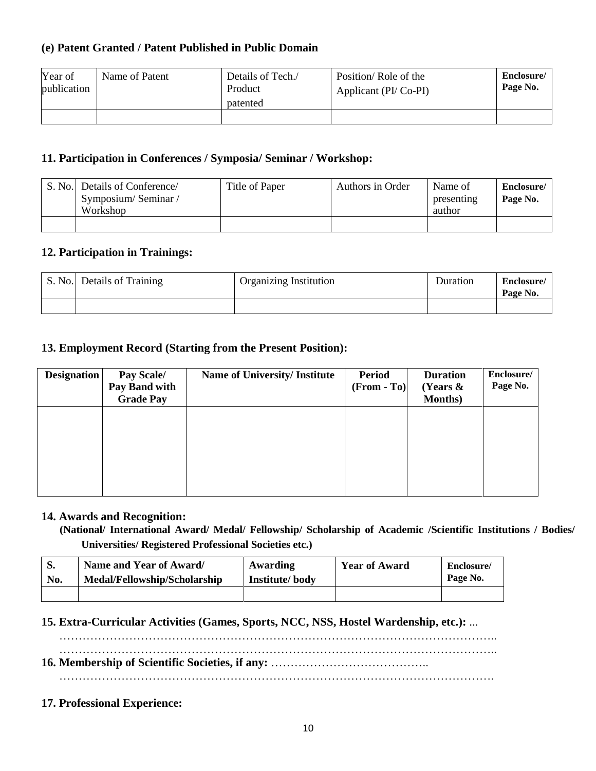### **(e) Patent Granted / Patent Published in Public Domain**

| Year of<br>publication | Name of Patent | Details of Tech./<br>Product<br>patented | Position/Role of the<br>Applicant (PI/Co-PI) | Enclosure/<br>Page No. |
|------------------------|----------------|------------------------------------------|----------------------------------------------|------------------------|
|                        |                |                                          |                                              |                        |

## **11. Participation in Conferences / Symposia/ Seminar / Workshop:**

| S. No. Details of Conference<br>Symposium/Seminar/<br>Workshop | Title of Paper | Authors in Order | Name of<br>presenting<br>author | Enclosure/<br>Page No. |
|----------------------------------------------------------------|----------------|------------------|---------------------------------|------------------------|
|                                                                |                |                  |                                 |                        |

### **12. Participation in Trainings:**

| S. No. Details of Training | Organizing Institution | Duration | Enclosure/<br>Page No. |
|----------------------------|------------------------|----------|------------------------|
|                            |                        |          |                        |

## **13. Employment Record (Starting from the Present Position):**

| <b>Designation</b> | Pay Scale/<br>Pay Band with<br><b>Grade Pay</b> | <b>Name of University/Institute</b> | <b>Period</b><br>$(From - To)$ | <b>Duration</b><br>(Years $\&$<br><b>Months</b> ) | Enclosure/<br>Page No. |
|--------------------|-------------------------------------------------|-------------------------------------|--------------------------------|---------------------------------------------------|------------------------|
|                    |                                                 |                                     |                                |                                                   |                        |
|                    |                                                 |                                     |                                |                                                   |                        |
|                    |                                                 |                                     |                                |                                                   |                        |

#### **14. Awards and Recognition:**

 **(National/ International Award/ Medal/ Fellowship/ Scholarship of Academic /Scientific Institutions / Bodies/ Universities/ Registered Professional Societies etc.)**

| э.  | Name and Year of Award/      | Awarding       | <b>Year of Award</b> | Enclosure/ |
|-----|------------------------------|----------------|----------------------|------------|
| No. | Medal/Fellowship/Scholarship | Institute/body |                      | Page No.   |
|     |                              |                |                      |            |

### **15. Extra-Curricular Activities (Games, Sports, NCC, NSS, Hostel Wardenship, etc.):** ...

………………………………………………………………………………………………….. …………………………………………………………………………………………………..

**16. Membership of Scientific Societies, if any:** …………………………………..

………………………………………………………………………………………………….

### **17. Professional Experience:**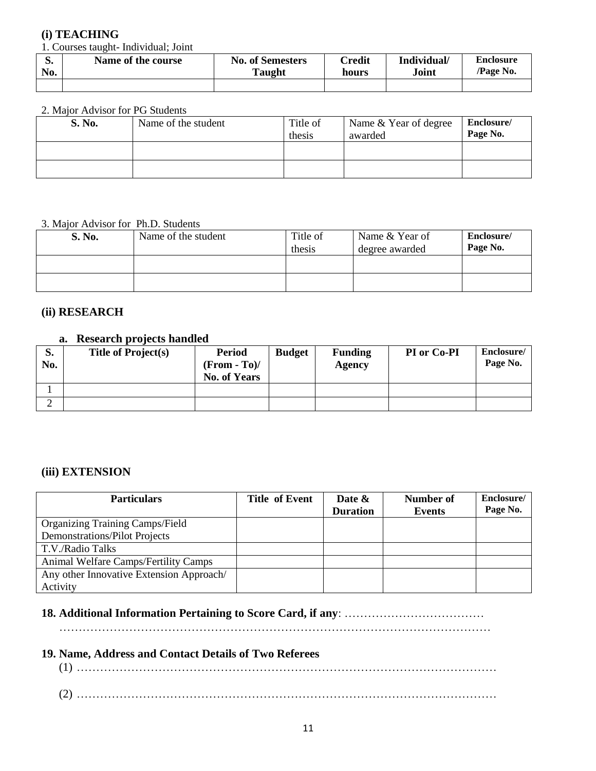### **(i) TEACHING**

1. Courses taught- Individual; Joint

| D.  | Name of the course | <b>No. of Semesters</b> | $\mathbb C$ redit | Individual/ | <b>Enclosure</b> |
|-----|--------------------|-------------------------|-------------------|-------------|------------------|
| No. |                    | <b>Taught</b>           | hours             | Joint       | <b>Page No.</b>  |
|     |                    |                         |                   |             |                  |

#### 2. Major Advisor for PG Students

| S. No. | Name of the student | Title of<br>thesis | Name & Year of degree<br>awarded | Enclosure/<br>Page No. |
|--------|---------------------|--------------------|----------------------------------|------------------------|
|        |                     |                    |                                  |                        |
|        |                     |                    |                                  |                        |

#### 3. Major Advisor for Ph.D. Students

| S. No. | Name of the student | Title of<br>thesis | Name & Year of<br>degree awarded | Enclosure/<br>Page No. |
|--------|---------------------|--------------------|----------------------------------|------------------------|
|        |                     |                    |                                  |                        |
|        |                     |                    |                                  |                        |

#### **(ii) RESEARCH**

## **a. Research projects handled**

| $\mathbf{C}$<br>d.<br>No. | <b>Title of Project(s)</b> | <b>Period</b><br>$(From - To)$ /<br><b>No. of Years</b> | <b>Budget</b> | <b>Funding</b><br>Agency | PI or Co-PI | Enclosure/<br>Page No. |
|---------------------------|----------------------------|---------------------------------------------------------|---------------|--------------------------|-------------|------------------------|
|                           |                            |                                                         |               |                          |             |                        |
|                           |                            |                                                         |               |                          |             |                        |

#### **(iii) EXTENSION**

| <b>Particulars</b>                       | <b>Title of Event</b> | Date &<br><b>Duration</b> | Number of<br>Events | Enclosure/<br>Page No. |
|------------------------------------------|-----------------------|---------------------------|---------------------|------------------------|
| <b>Organizing Training Camps/Field</b>   |                       |                           |                     |                        |
| <b>Demonstrations/Pilot Projects</b>     |                       |                           |                     |                        |
| T.V./Radio Talks                         |                       |                           |                     |                        |
| Animal Welfare Camps/Fertility Camps     |                       |                           |                     |                        |
| Any other Innovative Extension Approach/ |                       |                           |                     |                        |
| Activity                                 |                       |                           |                     |                        |

#### **18. Additional Information Pertaining to Score Card, if any**: ………………………………

…………………………………………………………………………………………………

#### **19. Name, Address and Contact Details of Two Referees**

(1) ………………………………………………………………………………………………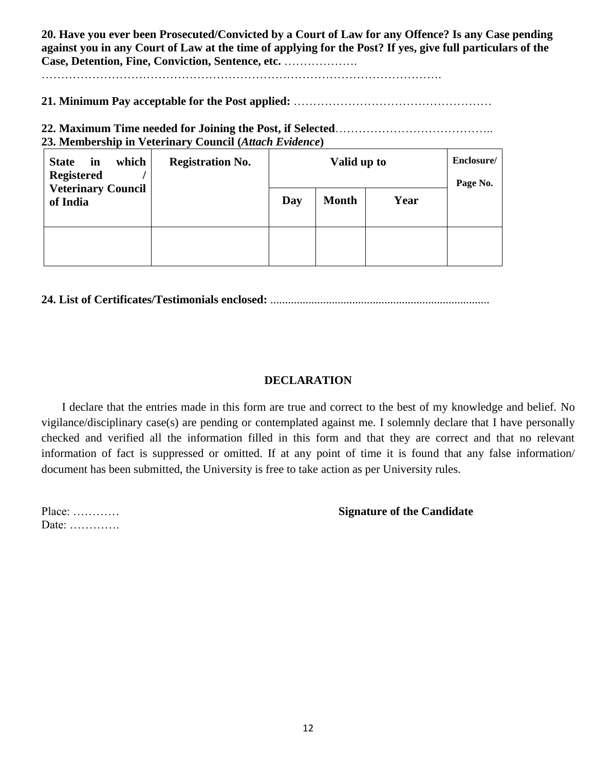**20. Have you ever been Prosecuted/Convicted by a Court of Law for any Offence? Is any Case pending against you in any Court of Law at the time of applying for the Post? If yes, give full particulars of the Case, Detention, Fine, Conviction, Sentence, etc.** ……………….

………………………………………………………………………………………….

**21. Minimum Pay acceptable for the Post applied:** ……………………………………………

**22. Maximum Time needed for Joining the Post, if Selected**………………………………….. **23. Membership in Veterinary Council (***Attach Evidence***)** 

| which<br><b>State</b><br>in<br><b>Registered</b> | <b>Registration No.</b> | Valid up to |              |      | Enclosure/<br>Page No. |
|--------------------------------------------------|-------------------------|-------------|--------------|------|------------------------|
| <b>Veterinary Council</b><br>of India            |                         | Day         | <b>Month</b> | Year |                        |
|                                                  |                         |             |              |      |                        |

**24. List of Certificates/Testimonials enclosed:** ...........................................................................

## **DECLARATION**

 I declare that the entries made in this form are true and correct to the best of my knowledge and belief. No vigilance/disciplinary case(s) are pending or contemplated against me. I solemnly declare that I have personally checked and verified all the information filled in this form and that they are correct and that no relevant information of fact is suppressed or omitted. If at any point of time it is found that any false information/ document has been submitted, the University is free to take action as per University rules.

Date: ………….

Place: ………… **Signature of the Candidate**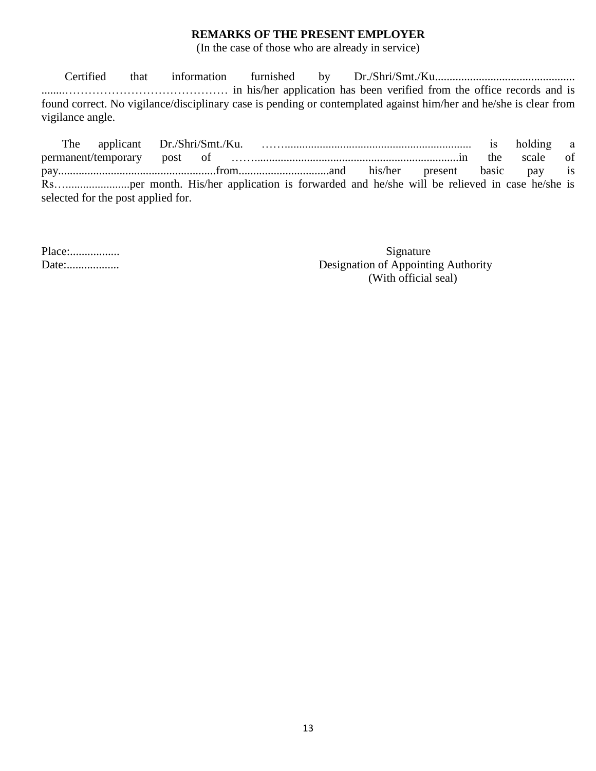#### **REMARKS OF THE PRESENT EMPLOYER**

(In the case of those who are already in service)

 Certified that information furnished by Dr./Shri/Smt./Ku................................................ ........…………………………………… in his/her application has been verified from the office records and is found correct. No vigilance/disciplinary case is pending or contemplated against him/her and he/she is clear from vigilance angle.

 The applicant Dr./Shri/Smt./Ku. ……................................................................ is holding a permanent/temporary post of ……......................................................................in the scale of pay......................................................from...............................and his/her present basic pay is Rs…......................per month. His/her application is forwarded and he/she will be relieved in case he/she is selected for the post applied for.

Place:................. Signature Date:.................. Designation of Appointing Authority (With official seal)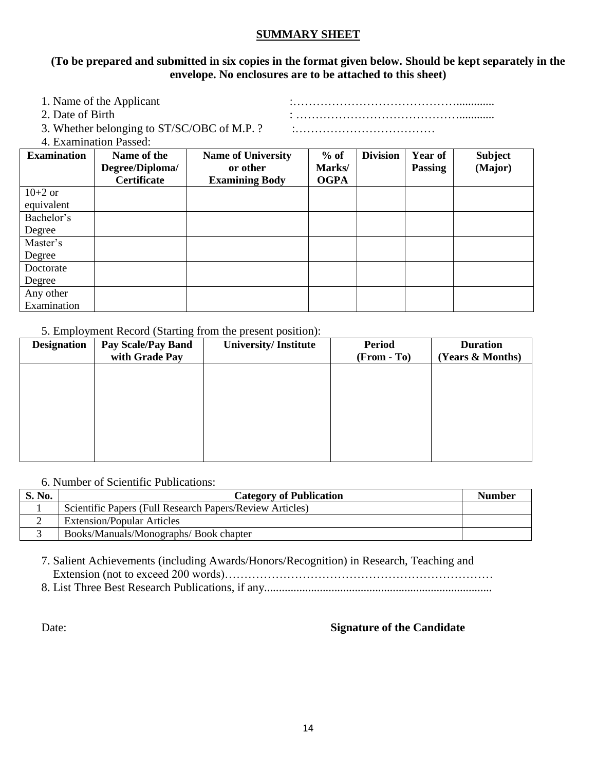#### **SUMMARY SHEET**

#### **(To be prepared and submitted in six copies in the format given below. Should be kept separately in the envelope. No enclosures are to be attached to this sheet)**

| 1. Name of the Applicant                              |  |
|-------------------------------------------------------|--|
| 2. Date of Birth                                      |  |
| 3. Whether belonging to ST/SC/OBC of M.P. ?           |  |
| $\mathcal{A}$ . Expression of the set of $\mathbf{D}$ |  |

4. Examination Passed:

| <b>Examination</b> | Name of the<br>Degree/Diploma/ | <b>Name of University</b><br>or other | $%$ of<br>Marks/ | <b>Division</b> | <b>Year of</b><br><b>Passing</b> | <b>Subject</b><br>(Major) |
|--------------------|--------------------------------|---------------------------------------|------------------|-----------------|----------------------------------|---------------------------|
|                    | <b>Certificate</b>             | <b>Examining Body</b>                 | <b>OGPA</b>      |                 |                                  |                           |
| $10+2$ or          |                                |                                       |                  |                 |                                  |                           |
| equivalent         |                                |                                       |                  |                 |                                  |                           |
| Bachelor's         |                                |                                       |                  |                 |                                  |                           |
| Degree             |                                |                                       |                  |                 |                                  |                           |
| Master's           |                                |                                       |                  |                 |                                  |                           |
| Degree             |                                |                                       |                  |                 |                                  |                           |
| Doctorate          |                                |                                       |                  |                 |                                  |                           |
| Degree             |                                |                                       |                  |                 |                                  |                           |
| Any other          |                                |                                       |                  |                 |                                  |                           |
| Examination        |                                |                                       |                  |                 |                                  |                           |

#### 5. Employment Record (Starting from the present position):

| <b>Designation</b> | <b>Pay Scale/Pay Band</b> | <b>University/Institute</b> | <b>Period</b> | <b>Duration</b>  |
|--------------------|---------------------------|-----------------------------|---------------|------------------|
|                    | with Grade Pay            |                             | $(From - To)$ | (Years & Months) |
|                    |                           |                             |               |                  |
|                    |                           |                             |               |                  |
|                    |                           |                             |               |                  |
|                    |                           |                             |               |                  |
|                    |                           |                             |               |                  |
|                    |                           |                             |               |                  |
|                    |                           |                             |               |                  |
|                    |                           |                             |               |                  |

#### 6. Number of Scientific Publications:

| S. No. | <b>Category of Publication</b>                           | <b>Number</b> |
|--------|----------------------------------------------------------|---------------|
|        | Scientific Papers (Full Research Papers/Review Articles) |               |
|        | <b>Extension/Popular Articles</b>                        |               |
|        | Books/Manuals/Monographs/Book chapter                    |               |

7. Salient Achievements (including Awards/Honors/Recognition) in Research, Teaching and Extension (not to exceed 200 words)……………………………………………………………

8. List Three Best Research Publications, if any..............................................................................

#### Date: **Signature of the Candidate**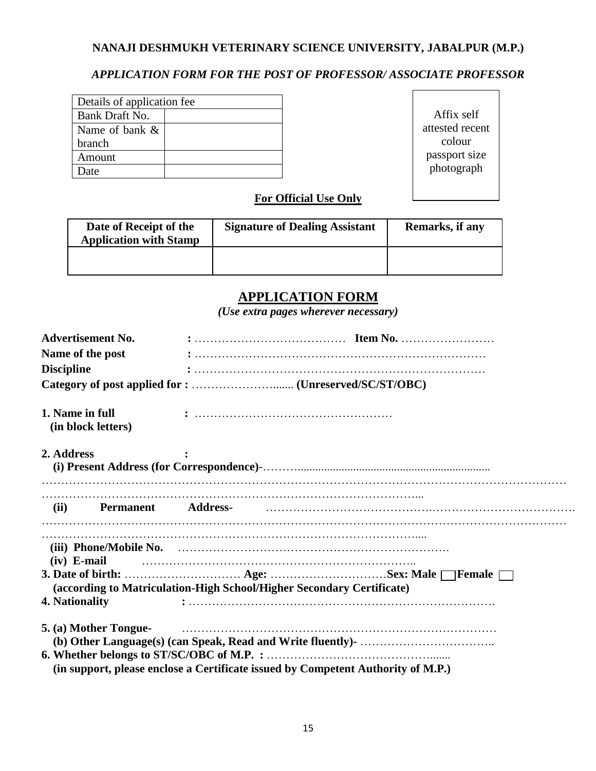### **NANAJI DESHMUKH VETERINARY SCIENCE UNIVERSITY, JABALPUR (M.P.)**

## *APPLICATION FORM FOR THE POST OF PROFESSOR/ ASSOCIATE PROFESSOR*

| Details of application fee |  |  |  |  |
|----------------------------|--|--|--|--|
| Bank Draft No.             |  |  |  |  |
| Name of bank &             |  |  |  |  |
| branch                     |  |  |  |  |
| Amount                     |  |  |  |  |
| )ate                       |  |  |  |  |

Affix self attested recent colour passport size photograph

### **For Official Use Only**

| Date of Receipt of the<br><b>Application with Stamp</b> | <b>Signature of Dealing Assistant</b> | Remarks, if any |
|---------------------------------------------------------|---------------------------------------|-----------------|
|                                                         |                                       |                 |

## **APPLICATION FORM**

*(Use extra pages wherever necessary)*

| <b>Advertisement No.</b>              | $: \ldots \ldots \ldots \ldots \ldots \ldots \ldots \ldots \ldots \text{Item No.} \ldots \ldots \ldots \ldots \ldots \ldots$ |
|---------------------------------------|------------------------------------------------------------------------------------------------------------------------------|
| Name of the post                      |                                                                                                                              |
| <b>Discipline</b>                     |                                                                                                                              |
|                                       |                                                                                                                              |
| 1. Name in full<br>(in block letters) |                                                                                                                              |
| 2. Address                            |                                                                                                                              |
|                                       |                                                                                                                              |
| $(iv)$ E-mail                         |                                                                                                                              |
|                                       | (according to Matriculation-High School/Higher Secondary Certificate)                                                        |
| 4. Nationality                        |                                                                                                                              |
| 5. (a) Mother Tongue-                 |                                                                                                                              |
|                                       | (in support, please enclose a Certificate issued by Competent Authority of M.P.)                                             |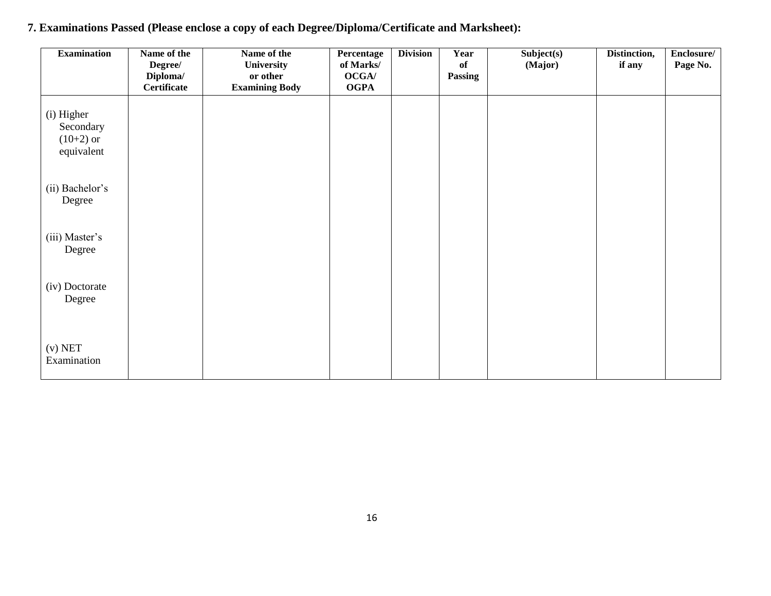| <b>Examination</b>                                   | Name of the<br>Degree/<br>Diploma/ | Name of the<br>University<br>or other | Percentage<br>of Marks/<br>OCGA/ | <b>Division</b> | Year<br>of<br><b>Passing</b> | Subject(s)<br>(Major) | Distinction,<br>if any | Enclosure/<br>Page No. |
|------------------------------------------------------|------------------------------------|---------------------------------------|----------------------------------|-----------------|------------------------------|-----------------------|------------------------|------------------------|
|                                                      | Certificate                        | <b>Examining Body</b>                 | <b>OGPA</b>                      |                 |                              |                       |                        |                        |
| (i) Higher<br>Secondary<br>$(10+2)$ or<br>equivalent |                                    |                                       |                                  |                 |                              |                       |                        |                        |
| (ii) Bachelor's<br>Degree                            |                                    |                                       |                                  |                 |                              |                       |                        |                        |
| (iii) Master's<br>Degree                             |                                    |                                       |                                  |                 |                              |                       |                        |                        |
| (iv) Doctorate<br>Degree                             |                                    |                                       |                                  |                 |                              |                       |                        |                        |
| $(v)$ NET<br>Examination                             |                                    |                                       |                                  |                 |                              |                       |                        |                        |

# **7. Examinations Passed (Please enclose a copy of each Degree/Diploma/Certificate and Marksheet):**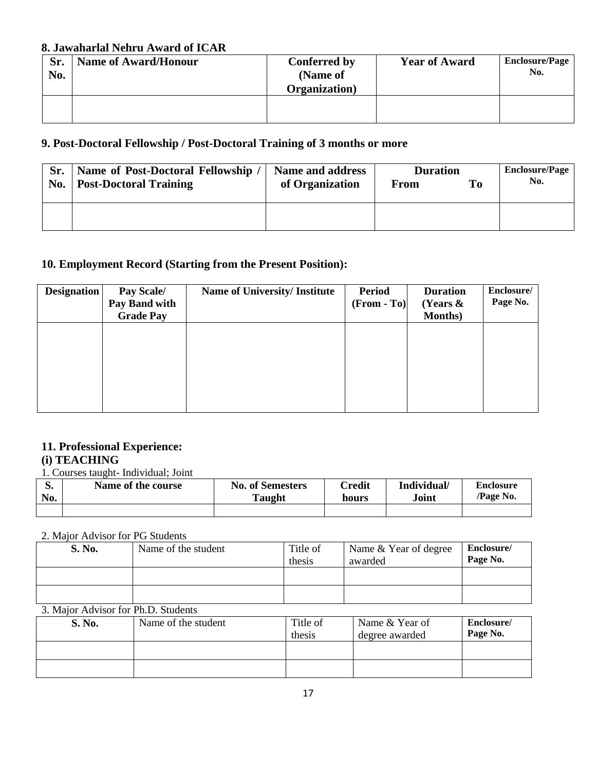#### **8. Jawaharlal Nehru Award of ICAR**

| Sr.<br>No. | <b>Name of Award/Honour</b> | <b>Conferred by</b><br>(Name of<br><b>Organization</b> ) | <b>Year of Award</b> | <b>Enclosure/Page</b><br>No. |
|------------|-----------------------------|----------------------------------------------------------|----------------------|------------------------------|
|            |                             |                                                          |                      |                              |

## **9. Post-Doctoral Fellowship / Post-Doctoral Training of 3 months or more**

| Sr. | Name of Post-Doctoral Fellowship / | <b>Duration</b> |      | <b>Enclosure/Page</b> |     |
|-----|------------------------------------|-----------------|------|-----------------------|-----|
|     | No.   Post-Doctoral Training       | of Organization | From | To                    | No. |
|     |                                    |                 |      |                       |     |
|     |                                    |                 |      |                       |     |
|     |                                    |                 |      |                       |     |

## **10. Employment Record (Starting from the Present Position):**

| <b>Designation</b> | Pay Scale/<br>Pay Band with<br><b>Grade Pay</b> | <b>Name of University/Institute</b> | <b>Period</b><br>$(From - To)$ | <b>Duration</b><br>(Years $\&$<br><b>Months</b> ) | Enclosure/<br>Page No. |
|--------------------|-------------------------------------------------|-------------------------------------|--------------------------------|---------------------------------------------------|------------------------|
|                    |                                                 |                                     |                                |                                                   |                        |
|                    |                                                 |                                     |                                |                                                   |                        |
|                    |                                                 |                                     |                                |                                                   |                        |

### **11. Professional Experience: (i) TEACHING**

1. Courses taught- Individual; Joint

| No. | Name of the course | <b>No. of Semesters</b><br><b>Taught</b> | $\mathbb C$ redit<br>hours | Individual/<br>Joint | <b>Enclosure</b><br>/Page No. |
|-----|--------------------|------------------------------------------|----------------------------|----------------------|-------------------------------|
|     |                    |                                          |                            |                      |                               |

#### 2. Major Advisor for PG Students

| S. No. | Name of the student | Title of<br>thesis | Name & Year of degree<br>awarded | Enclosure/<br>Page No. |
|--------|---------------------|--------------------|----------------------------------|------------------------|
|        |                     |                    |                                  |                        |
|        |                     |                    |                                  |                        |

#### 3. Major Advisor for Ph.D. Students

| S. No. | Name of the student | Title of<br>thesis | Name & Year of<br>degree awarded | Enclosure/<br>Page No. |
|--------|---------------------|--------------------|----------------------------------|------------------------|
|        |                     |                    |                                  |                        |
|        |                     |                    |                                  |                        |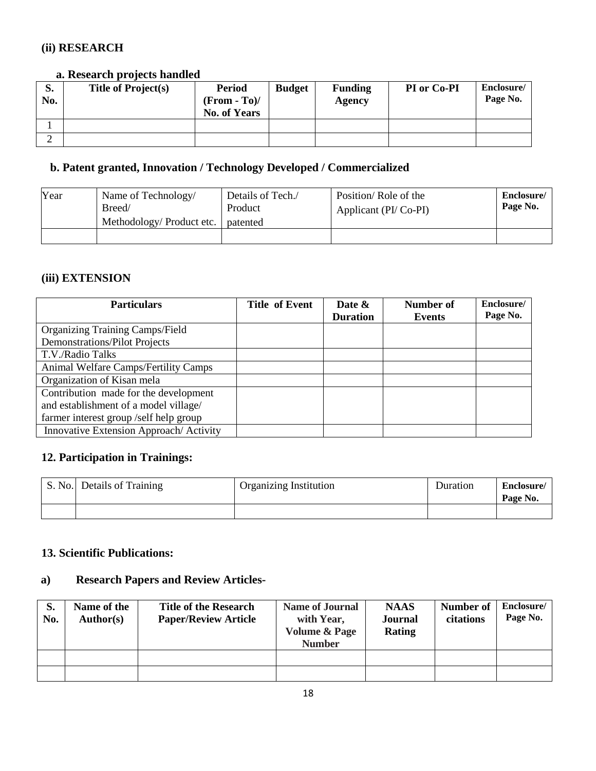## **(ii) RESEARCH**

### **a. Research projects handled**

| D.<br>No. | <b>Title of Project(s)</b> | <b>Period</b><br>$(From - To)$ /<br><b>No. of Years</b> | <b>Budget</b> | <b>Funding</b><br>Agency | PI or Co-PI | Enclosure/<br>Page No. |
|-----------|----------------------------|---------------------------------------------------------|---------------|--------------------------|-------------|------------------------|
|           |                            |                                                         |               |                          |             |                        |
|           |                            |                                                         |               |                          |             |                        |

## **b. Patent granted, Innovation / Technology Developed / Commercialized**

| Year | Name of Technology/<br>Breed/<br>Methodology/Product etc. | Details of Tech./<br>Product<br>patented | Position/Role of the<br>Applicant (PI/Co-PI) | Enclosure/<br>Page No. |
|------|-----------------------------------------------------------|------------------------------------------|----------------------------------------------|------------------------|
|      |                                                           |                                          |                                              |                        |

## **(iii) EXTENSION**

| <b>Particulars</b>                     | <b>Title of Event</b> | Date &          | <b>Number of</b> | Enclosure/ |
|----------------------------------------|-----------------------|-----------------|------------------|------------|
|                                        |                       | <b>Duration</b> | Events           | Page No.   |
| <b>Organizing Training Camps/Field</b> |                       |                 |                  |            |
| Demonstrations/Pilot Projects          |                       |                 |                  |            |
| T.V./Radio Talks                       |                       |                 |                  |            |
| Animal Welfare Camps/Fertility Camps   |                       |                 |                  |            |
| Organization of Kisan mela             |                       |                 |                  |            |
| Contribution made for the development  |                       |                 |                  |            |
| and establishment of a model village/  |                       |                 |                  |            |
| farmer interest group /self help group |                       |                 |                  |            |
| Innovative Extension Approach/Activity |                       |                 |                  |            |

## **12. Participation in Trainings:**

| S. No. Details of Training | Organizing Institution | Duration | Enclosure/<br>Page No. |
|----------------------------|------------------------|----------|------------------------|
|                            |                        |          |                        |

### **13. Scientific Publications:**

## **a) Research Papers and Review Articles-**

| S.<br>No. | Name of the<br><b>Author(s)</b> | <b>Title of the Research</b><br><b>Paper/Review Article</b> | <b>Name of Journal</b><br>with Year,<br><b>Volume &amp; Page</b><br><b>Number</b> | <b>NAAS</b><br>Journal<br>Rating | Number of<br>citations | Enclosure/<br>Page No. |
|-----------|---------------------------------|-------------------------------------------------------------|-----------------------------------------------------------------------------------|----------------------------------|------------------------|------------------------|
|           |                                 |                                                             |                                                                                   |                                  |                        |                        |
|           |                                 |                                                             |                                                                                   |                                  |                        |                        |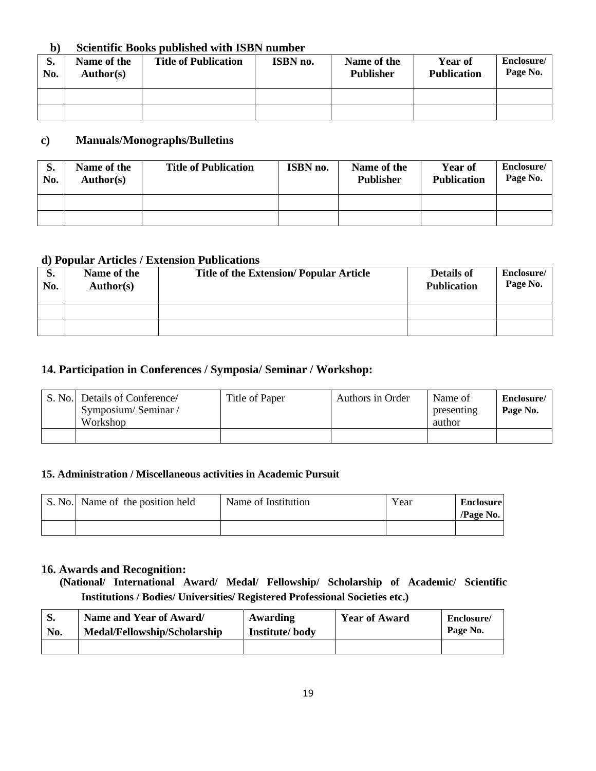#### **b) Scientific Books published with ISBN number**

| $\mathbf{C}$<br>D.<br>No. | Name of the<br>Author(s) | <b>Title of Publication</b> | ISBN no. | Name of the<br><b>Publisher</b> | <b>Year of</b><br><b>Publication</b> | Enclosure/<br>Page No. |
|---------------------------|--------------------------|-----------------------------|----------|---------------------------------|--------------------------------------|------------------------|
|                           |                          |                             |          |                                 |                                      |                        |
|                           |                          |                             |          |                                 |                                      |                        |

### **c) Manuals/Monographs/Bulletins**

| o.<br>No. | Name of the<br>Author(s) | <b>Title of Publication</b> | ISBN no. | Name of the<br><b>Publisher</b> | Year of<br><b>Publication</b> | Enclosure/<br>Page No. |
|-----------|--------------------------|-----------------------------|----------|---------------------------------|-------------------------------|------------------------|
|           |                          |                             |          |                                 |                               |                        |
|           |                          |                             |          |                                 |                               |                        |

#### **d) Popular Articles / Extension Publications**

| S.<br>No. | Name of the<br>Author(s) | <b>Title of the Extension/ Popular Article</b> | <b>Details of</b><br><b>Publication</b> | Enclosure/<br>Page No. |
|-----------|--------------------------|------------------------------------------------|-----------------------------------------|------------------------|
|           |                          |                                                |                                         |                        |
|           |                          |                                                |                                         |                        |

#### **14. Participation in Conferences / Symposia/ Seminar / Workshop:**

| S. No. Details of Conference/<br>Symposium/Seminar/<br>Workshop | Title of Paper | Authors in Order | Name of<br>presenting<br>author | Enclosure/<br>Page No. |
|-----------------------------------------------------------------|----------------|------------------|---------------------------------|------------------------|
|                                                                 |                |                  |                                 |                        |

#### **15. Administration / Miscellaneous activities in Academic Pursuit**

| S. No. Name of the position held | Name of Institution | Year | <b>Enclosure</b><br>$\alpha$ /Page No. |
|----------------------------------|---------------------|------|----------------------------------------|
|                                  |                     |      |                                        |

#### **16. Awards and Recognition:**

 **(National/ International Award/ Medal/ Fellowship/ Scholarship of Academic/ Scientific Institutions / Bodies/ Universities/ Registered Professional Societies etc.)**

| <b>S.</b> | Name and Year of Award/      | Awarding       | <b>Year of Award</b> | Enclosure/ |
|-----------|------------------------------|----------------|----------------------|------------|
| No.       | Medal/Fellowship/Scholarship | Institute/body |                      | Page No.   |
|           |                              |                |                      |            |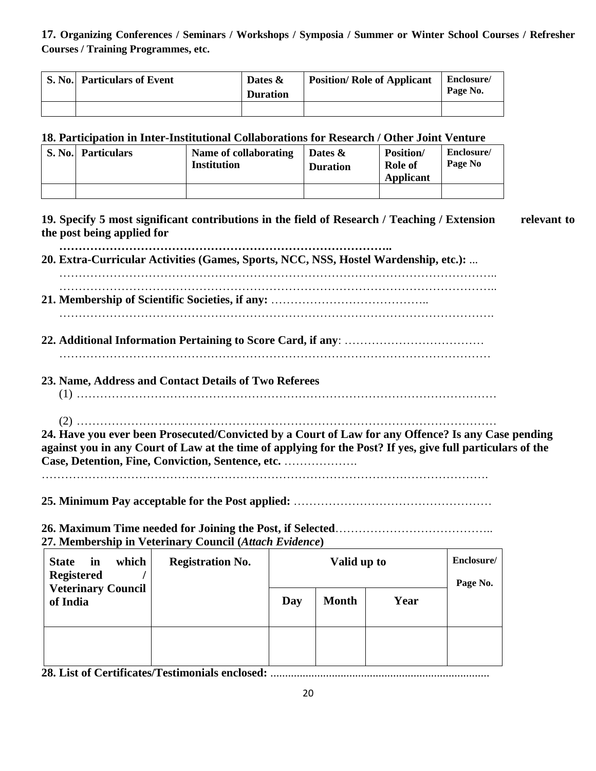**17. Organizing Conferences / Seminars / Workshops / Symposia / Summer or Winter School Courses / Refresher Courses / Training Programmes, etc.**

| S. No. Particulars of Event | Dates &<br><b>Duration</b> | <b>Position/ Role of Applicant</b> | Enclosure/<br>Page No. |
|-----------------------------|----------------------------|------------------------------------|------------------------|
|                             |                            |                                    |                        |

### **18. Participation in Inter-Institutional Collaborations for Research / Other Joint Venture**

| S. No. Particulars | Name of collaborating<br><b>Institution</b> | Dates $\&$<br><b>Duration</b> | <b>Position</b> /<br><b>Role of</b><br>Applicant | Enclosure/<br>Page No |
|--------------------|---------------------------------------------|-------------------------------|--------------------------------------------------|-----------------------|
|                    |                                             |                               |                                                  |                       |

**19. Specify 5 most significant contributions in the field of Research / Teaching / Extension relevant to the post being applied for**

 **………………………………………………………………………….. 20. Extra-Curricular Activities (Games, Sports, NCC, NSS, Hostel Wardenship, etc.):** ...

…………………………………………………………………………………………………..

 ………………………………………………………………………………………………….. **21. Membership of Scientific Societies, if any:** ………………………………….. ………………………………………………………………………………………………….

- **22. Additional Information Pertaining to Score Card, if any**: ………………………………
- …………………………………………………………………………………………………
- **23. Name, Address and Contact Details of Two Referees**

(1) ………………………………………………………………………………………………

(2) ………………………………………………………………………………………………

**24. Have you ever been Prosecuted/Convicted by a Court of Law for any Offence? Is any Case pending against you in any Court of Law at the time of applying for the Post? If yes, give full particulars of the Case, Detention, Fine, Conviction, Sentence, etc.** ……………….

…………………………………………………………………………………………………….

**25. Minimum Pay acceptable for the Post applied:** ……………………………………………

**26. Maximum Time needed for Joining the Post, if Selected**………………………………….. **27. Membership in Veterinary Council (***Attach Evidence***)** 

| which<br><b>State</b><br>in<br><b>Registered</b> | <b>Registration No.</b> | Valid up to |              |      | Enclosure/<br>Page No. |
|--------------------------------------------------|-------------------------|-------------|--------------|------|------------------------|
| <b>Veterinary Council</b><br>of India            |                         | Day         | <b>Month</b> | Year |                        |
|                                                  |                         |             |              |      |                        |

**28. List of Certificates/Testimonials enclosed:** ...........................................................................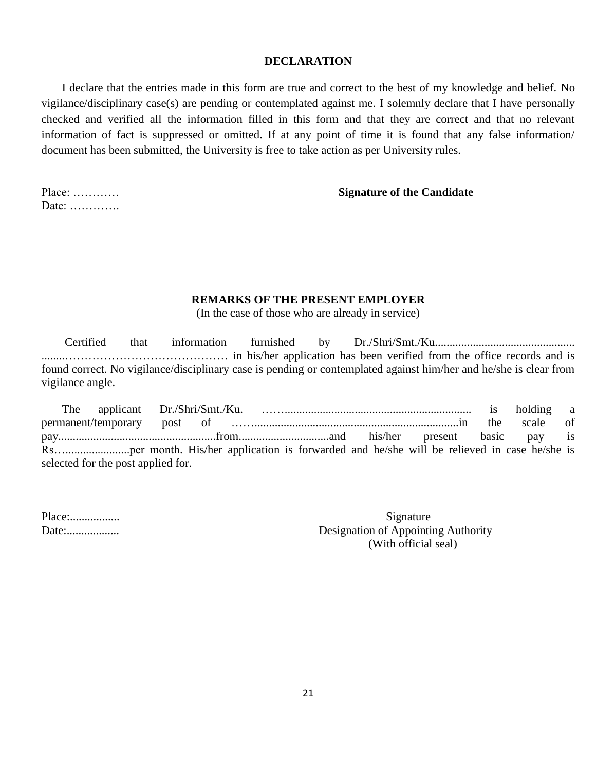#### **DECLARATION**

 I declare that the entries made in this form are true and correct to the best of my knowledge and belief. No vigilance/disciplinary case(s) are pending or contemplated against me. I solemnly declare that I have personally checked and verified all the information filled in this form and that they are correct and that no relevant information of fact is suppressed or omitted. If at any point of time it is found that any false information/ document has been submitted, the University is free to take action as per University rules.

Date: ………….

#### Place: ………… **Signature of the Candidate**

#### **REMARKS OF THE PRESENT EMPLOYER**

(In the case of those who are already in service)

 Certified that information furnished by Dr./Shri/Smt./Ku................................................ ........…………………………………… in his/her application has been verified from the office records and is found correct. No vigilance/disciplinary case is pending or contemplated against him/her and he/she is clear from vigilance angle.

|                                    |  |  |  | the scale of |  |
|------------------------------------|--|--|--|--------------|--|
|                                    |  |  |  |              |  |
|                                    |  |  |  |              |  |
| selected for the post applied for. |  |  |  |              |  |

| Place: |  |
|--------|--|
| Date:  |  |

Signature Designation of Appointing Authority (With official seal)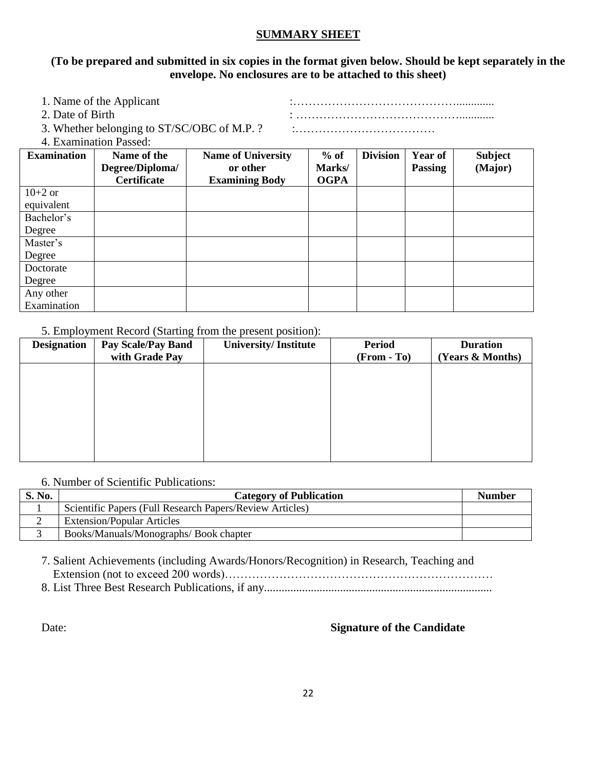#### **SUMMARY SHEET**

#### **(To be prepared and submitted in six copies in the format given below. Should be kept separately in the envelope. No enclosures are to be attached to this sheet)**

| 1. Name of the Applicant                                          |  |
|-------------------------------------------------------------------|--|
| 2. Date of Birth                                                  |  |
| 3. Whether belonging to ST/SC/OBC of M.P. ?                       |  |
| $\mathcal{A}$ . Expanding the state $\mathbf{D}$ and $\mathbf{D}$ |  |

4. Examination Passed:

| <b>Examination</b> | Name of the        | <b>Name of University</b> | $%$ of      | <b>Division</b> | Year of        | <b>Subject</b> |
|--------------------|--------------------|---------------------------|-------------|-----------------|----------------|----------------|
|                    | Degree/Diploma/    | or other                  | Marks/      |                 | <b>Passing</b> | (Major)        |
|                    | <b>Certificate</b> | <b>Examining Body</b>     | <b>OGPA</b> |                 |                |                |
| $10+2$ or          |                    |                           |             |                 |                |                |
| equivalent         |                    |                           |             |                 |                |                |
| Bachelor's         |                    |                           |             |                 |                |                |
| Degree             |                    |                           |             |                 |                |                |
| Master's           |                    |                           |             |                 |                |                |
| Degree             |                    |                           |             |                 |                |                |
| Doctorate          |                    |                           |             |                 |                |                |
| Degree             |                    |                           |             |                 |                |                |
| Any other          |                    |                           |             |                 |                |                |
| Examination        |                    |                           |             |                 |                |                |

#### 5. Employment Record (Starting from the present position):

| <b>Designation</b> | <b>Pay Scale/Pay Band</b> | <b>University/Institute</b> | <b>Period</b> | <b>Duration</b>  |
|--------------------|---------------------------|-----------------------------|---------------|------------------|
|                    | with Grade Pay            |                             | $(From - To)$ | (Years & Months) |
|                    |                           |                             |               |                  |
|                    |                           |                             |               |                  |
|                    |                           |                             |               |                  |
|                    |                           |                             |               |                  |
|                    |                           |                             |               |                  |
|                    |                           |                             |               |                  |
|                    |                           |                             |               |                  |
|                    |                           |                             |               |                  |

#### 6. Number of Scientific Publications:

| S. No. | <b>Category of Publication</b>                           | <b>Number</b> |
|--------|----------------------------------------------------------|---------------|
|        | Scientific Papers (Full Research Papers/Review Articles) |               |
|        | <b>Extension/Popular Articles</b>                        |               |
|        | Books/Manuals/Monographs/Book chapter                    |               |

7. Salient Achievements (including Awards/Honors/Recognition) in Research, Teaching and Extension (not to exceed 200 words)……………………………………………………………

8. List Three Best Research Publications, if any..............................................................................

#### Date: **Signature of the Candidate**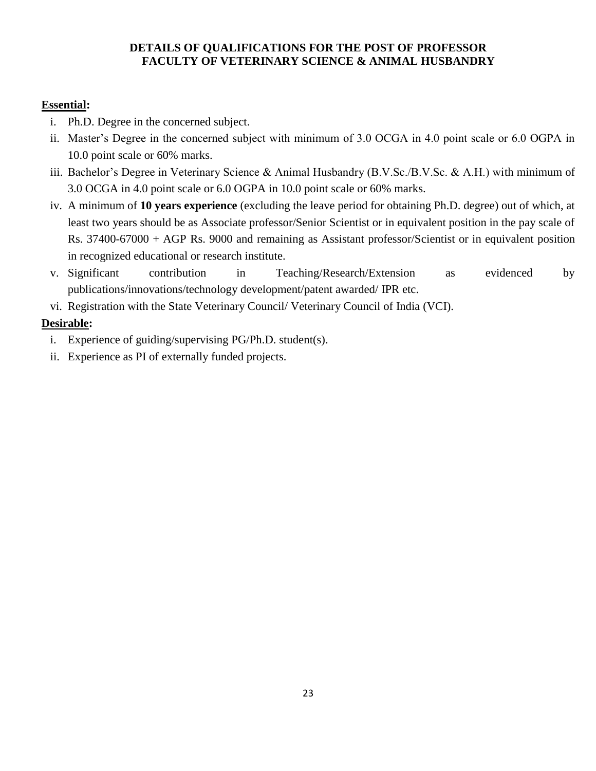### **DETAILS OF QUALIFICATIONS FOR THE POST OF PROFESSOR FACULTY OF VETERINARY SCIENCE & ANIMAL HUSBANDRY**

## **Essential:**

- i. Ph.D. Degree in the concerned subject.
- ii. Master's Degree in the concerned subject with minimum of 3.0 OCGA in 4.0 point scale or 6.0 OGPA in 10.0 point scale or 60% marks.
- iii. Bachelor's Degree in Veterinary Science & Animal Husbandry (B.V.Sc./B.V.Sc. & A.H.) with minimum of 3.0 OCGA in 4.0 point scale or 6.0 OGPA in 10.0 point scale or 60% marks.
- iv. A minimum of **10 years experience** (excluding the leave period for obtaining Ph.D. degree) out of which, at least two years should be as Associate professor/Senior Scientist or in equivalent position in the pay scale of Rs. 37400-67000 + AGP Rs. 9000 and remaining as Assistant professor/Scientist or in equivalent position in recognized educational or research institute.
- v. Significant contribution in Teaching/Research/Extension as evidenced by publications/innovations/technology development/patent awarded/ IPR etc.
- vi. Registration with the State Veterinary Council/ Veterinary Council of India (VCI).

## **Desirable:**

- i. Experience of guiding/supervising PG/Ph.D. student(s).
- ii. Experience as PI of externally funded projects.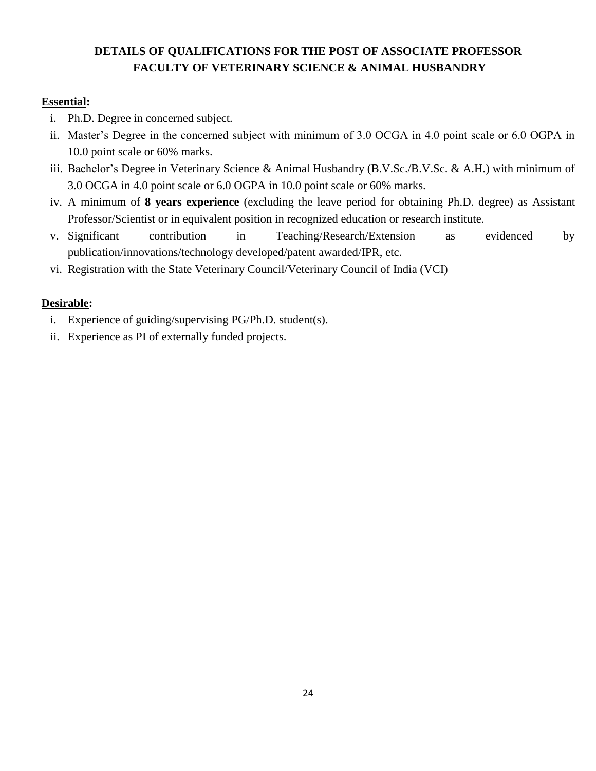## **DETAILS OF QUALIFICATIONS FOR THE POST OF ASSOCIATE PROFESSOR FACULTY OF VETERINARY SCIENCE & ANIMAL HUSBANDRY**

### **Essential:**

- i. Ph.D. Degree in concerned subject.
- ii. Master's Degree in the concerned subject with minimum of 3.0 OCGA in 4.0 point scale or 6.0 OGPA in 10.0 point scale or 60% marks.
- iii. Bachelor's Degree in Veterinary Science & Animal Husbandry (B.V.Sc./B.V.Sc. & A.H.) with minimum of 3.0 OCGA in 4.0 point scale or 6.0 OGPA in 10.0 point scale or 60% marks.
- iv. A minimum of **8 years experience** (excluding the leave period for obtaining Ph.D. degree) as Assistant Professor/Scientist or in equivalent position in recognized education or research institute.
- v. Significant contribution in Teaching/Research/Extension as evidenced by publication/innovations/technology developed/patent awarded/IPR, etc.
- vi. Registration with the State Veterinary Council/Veterinary Council of India (VCI)

### **Desirable:**

- i. Experience of guiding/supervising PG/Ph.D. student(s).
- ii. Experience as PI of externally funded projects.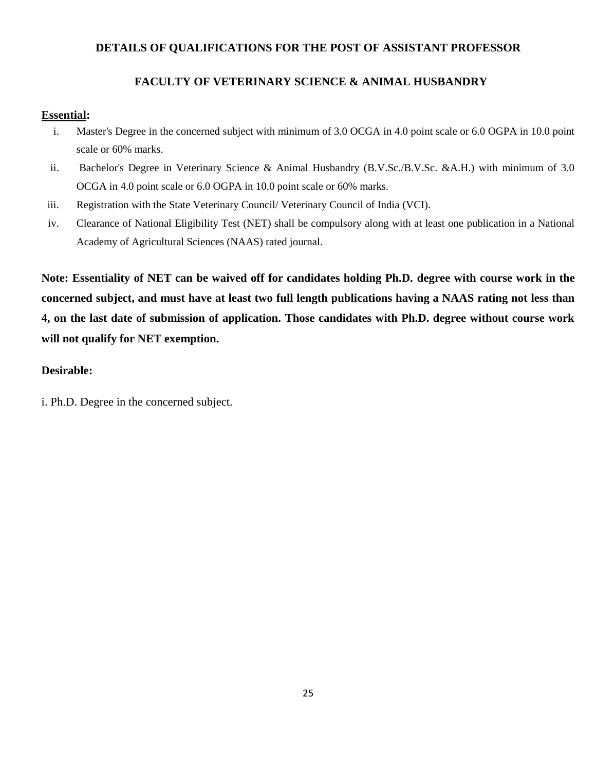### **DETAILS OF QUALIFICATIONS FOR THE POST OF ASSISTANT PROFESSOR**

### **FACULTY OF VETERINARY SCIENCE & ANIMAL HUSBANDRY**

#### **Essential:**

- i. Master's Degree in the concerned subject with minimum of 3.0 OCGA in 4.0 point scale or 6.0 OGPA in 10.0 point scale or 60% marks.
- ii. Bachelor's Degree in Veterinary Science & Animal Husbandry (B.V.Sc./B.V.Sc. &A.H.) with minimum of 3.0 OCGA in 4.0 point scale or 6.0 OGPA in 10.0 point scale or 60% marks.
- iii. Registration with the State Veterinary Council/ Veterinary Council of India (VCI).
- iv. Clearance of National Eligibility Test (NET) shall be compulsory along with at least one publication in a National Academy of Agricultural Sciences (NAAS) rated journal.

**Note: Essentiality of NET can be waived off for candidates holding Ph.D. degree with course work in the concerned subject, and must have at least two full length publications having a NAAS rating not less than 4, on the last date of submission of application. Those candidates with Ph.D. degree without course work will not qualify for NET exemption.**

#### **Desirable:**

i. Ph.D. Degree in the concerned subject.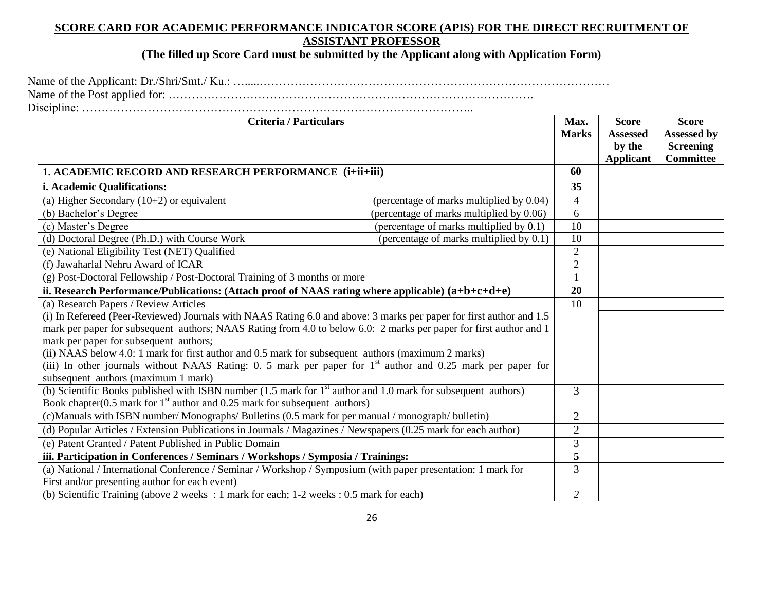### **SCORE CARD FOR ACADEMIC PERFORMANCE INDICATOR SCORE (APIS) FOR THE DIRECT RECRUITMENT OF ASSISTANT PROFESSOR**

**(The filled up Score Card must be submitted by the Applicant along with Application Form)**

Name of the Applicant: Dr./Shri/Smt./ Ku.: ….....……………………………………………………………………………… Name of the Post applied for: …………………………………………………………………………………. Discipline: ………………………………………………………………………………………..

| <b>Criteria / Particulars</b>                                                                                                                        | Max.<br><b>Marks</b> | <b>Score</b><br><b>Assessed</b><br>by the<br><b>Applicant</b> | <b>Score</b><br>Assessed by<br><b>Screening</b><br><b>Committee</b> |
|------------------------------------------------------------------------------------------------------------------------------------------------------|----------------------|---------------------------------------------------------------|---------------------------------------------------------------------|
| 1. ACADEMIC RECORD AND RESEARCH PERFORMANCE (i+ii+iii)                                                                                               | 60                   |                                                               |                                                                     |
| i. Academic Qualifications:                                                                                                                          | 35                   |                                                               |                                                                     |
| (a) Higher Secondary $(10+2)$ or equivalent<br>(percentage of marks multiplied by 0.04)                                                              | $\overline{4}$       |                                                               |                                                                     |
| (percentage of marks multiplied by 0.06)<br>(b) Bachelor's Degree                                                                                    | 6                    |                                                               |                                                                     |
| (c) Master's Degree<br>(percentage of marks multiplied by 0.1)                                                                                       | 10                   |                                                               |                                                                     |
| (d) Doctoral Degree (Ph.D.) with Course Work<br>(percentage of marks multiplied by 0.1)                                                              | 10                   |                                                               |                                                                     |
| (e) National Eligibility Test (NET) Qualified                                                                                                        | $\sqrt{2}$           |                                                               |                                                                     |
| (f) Jawaharlal Nehru Award of ICAR                                                                                                                   | $\overline{2}$       |                                                               |                                                                     |
| (g) Post-Doctoral Fellowship / Post-Doctoral Training of 3 months or more                                                                            |                      |                                                               |                                                                     |
| ii. Research Performance/Publications: (Attach proof of NAAS rating where applicable) (a+b+c+d+e)                                                    | 20                   |                                                               |                                                                     |
| (a) Research Papers / Review Articles                                                                                                                | 10                   |                                                               |                                                                     |
| (i) In Refereed (Peer-Reviewed) Journals with NAAS Rating 6.0 and above: 3 marks per paper for first author and 1.5                                  |                      |                                                               |                                                                     |
| mark per paper for subsequent authors; NAAS Rating from 4.0 to below 6.0: 2 marks per paper for first author and 1                                   |                      |                                                               |                                                                     |
| mark per paper for subsequent authors;                                                                                                               |                      |                                                               |                                                                     |
| (ii) NAAS below 4.0: 1 mark for first author and 0.5 mark for subsequent authors (maximum 2 marks)                                                   |                      |                                                               |                                                                     |
| (iii) In other journals without NAAS Rating: 0. 5 mark per paper for $1st$ author and 0.25 mark per paper for<br>subsequent authors (maximum 1 mark) |                      |                                                               |                                                                     |
| (b) Scientific Books published with ISBN number $(1.5 \text{ mark for } 1^{\text{st}})$ author and 1.0 mark for subsequent authors)                  | 3                    |                                                               |                                                                     |
| Book chapter(0.5 mark for $1st$ author and 0.25 mark for subsequent authors)                                                                         |                      |                                                               |                                                                     |
| (c)Manuals with ISBN number/Monographs/Bulletins (0.5 mark for per manual / monograph/ bulletin)                                                     | $\overline{2}$       |                                                               |                                                                     |
| (d) Popular Articles / Extension Publications in Journals / Magazines / Newspapers (0.25 mark for each author)                                       | $\overline{2}$       |                                                               |                                                                     |
| (e) Patent Granted / Patent Published in Public Domain                                                                                               | 3                    |                                                               |                                                                     |
| iii. Participation in Conferences / Seminars / Workshops / Symposia / Trainings:                                                                     | 5                    |                                                               |                                                                     |
| (a) National / International Conference / Seminar / Workshop / Symposium (with paper presentation: 1 mark for                                        | 3                    |                                                               |                                                                     |
| First and/or presenting author for each event)                                                                                                       |                      |                                                               |                                                                     |
| (b) Scientific Training (above 2 weeks : 1 mark for each; 1-2 weeks : 0.5 mark for each)                                                             | $\overline{2}$       |                                                               |                                                                     |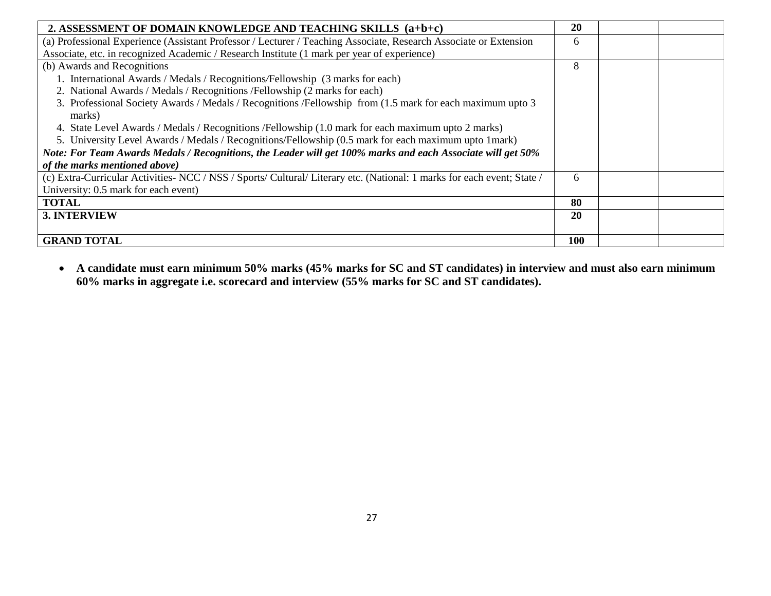| 2. ASSESSMENT OF DOMAIN KNOWLEDGE AND TEACHING SKILLS (a+b+c)                                                          | 20  |  |
|------------------------------------------------------------------------------------------------------------------------|-----|--|
| (a) Professional Experience (Assistant Professor / Lecturer / Teaching Associate, Research Associate or Extension      | 6   |  |
| Associate, etc. in recognized Academic / Research Institute (1 mark per year of experience)                            |     |  |
| (b) Awards and Recognitions                                                                                            | 8   |  |
| 1. International Awards / Medals / Recognitions/Fellowship (3 marks for each)                                          |     |  |
| 2. National Awards / Medals / Recognitions / Fellowship (2 marks for each)                                             |     |  |
| 3. Professional Society Awards / Medals / Recognitions / Fellowship from (1.5 mark for each maximum upto 3<br>marks)   |     |  |
| 4. State Level Awards / Medals / Recognitions / Fellowship (1.0 mark for each maximum upto 2 marks)                    |     |  |
| 5. University Level Awards / Medals / Recognitions/Fellowship (0.5 mark for each maximum upto 1 mark)                  |     |  |
| Note: For Team Awards Medals / Recognitions, the Leader will get 100% marks and each Associate will get 50%            |     |  |
| of the marks mentioned above)                                                                                          |     |  |
| (c) Extra-Curricular Activities-NCC / NSS / Sports/ Cultural/ Literary etc. (National: 1 marks for each event; State / | 6   |  |
| University: 0.5 mark for each event)                                                                                   |     |  |
| <b>TOTAL</b>                                                                                                           | 80  |  |
| <b>3. INTERVIEW</b>                                                                                                    | 20  |  |
|                                                                                                                        |     |  |
| <b>GRAND TOTAL</b>                                                                                                     | 100 |  |

 **A candidate must earn minimum 50% marks (45% marks for SC and ST candidates) in interview and must also earn minimum 60% marks in aggregate i.e. scorecard and interview (55% marks for SC and ST candidates).**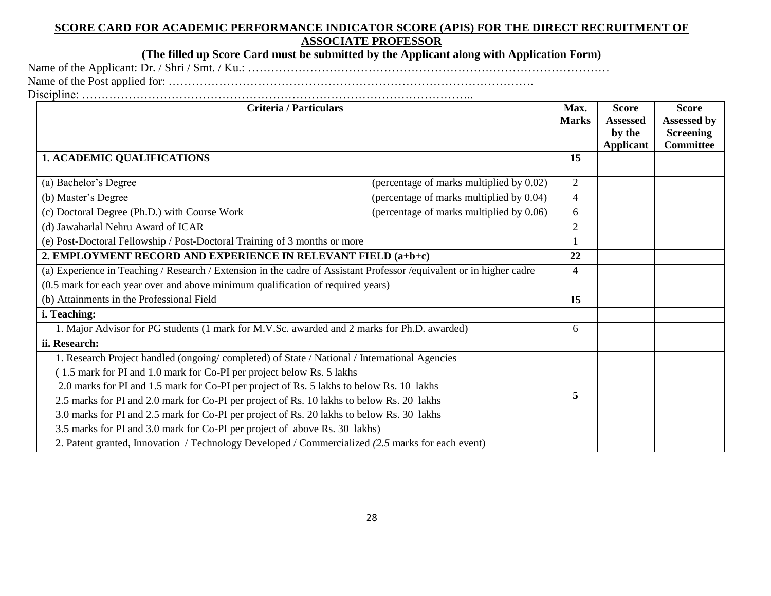#### **SCORE CARD FOR ACADEMIC PERFORMANCE INDICATOR SCORE (APIS) FOR THE DIRECT RECRUITMENT OF ASSOCIATE PROFESSOR**

**(The filled up Score Card must be submitted by the Applicant along with Application Form)**

Name of the Applicant: Dr. / Shri / Smt. / Ku.: ……………………………………………………………………………………… Name of the Post applied for: …………………………………………………………………………………. Discipline: ………………………………………………………………………………………..

**Criteria / Particulars Max. Max. Max. Max. Max. Marks Score Assessed by the Applicant Score Assessed by Screening Committee 1. ACADEMIC QUALIFICATIONS 15** (a) Bachelor's Degree (percentage of marks multiplied by  $0.02$ ) 2 (b) Master's Degree (percentage of marks multiplied by 0.04) 4 (c) Doctoral Degree (Ph.D.) with Course Work (percentage of marks multiplied by 0.06) 6 (d) Jawaharlal Nehru Award of ICAR 2 (e) Post-Doctoral Fellowship / Post-Doctoral Training of 3 months or more 1 **2. EMPLOYMENT RECORD AND EXPERIENCE IN RELEVANT FIELD (a+b+c) 22** (a) Experience in Teaching / Research / Extension in the cadre of Assistant Professor /equivalent or in higher cadre (0.5 mark for each year over and above minimum qualification of required years) **4** (b) Attainments in the Professional Field **15 i. Teaching:** 1. Major Advisor for PG students (1 mark for M.V.Sc. awarded and 2 marks for Ph.D. awarded) 6 **ii. Research:**  1. Research Project handled (ongoing/ completed) of State / National / International Agencies ( 1.5 mark for PI and 1.0 mark for Co-PI per project below Rs. 5 lakhs 2.0 marks for PI and 1.5 mark for Co-PI per project of Rs. 5 lakhs to below Rs. 10 lakhs 2.5 marks for PI and 2.0 mark for Co-PI per project of Rs. 10 lakhs to below Rs. 20 lakhs 3.0 marks for PI and 2.5 mark for Co-PI per project of Rs. 20 lakhs to below Rs. 30 lakhs 3.5 marks for PI and 3.0 mark for Co-PI per project of above Rs. 30 lakhs) **5** 2. Patent granted, Innovation / Technology Developed / Commercialized *(2.5* marks for each event)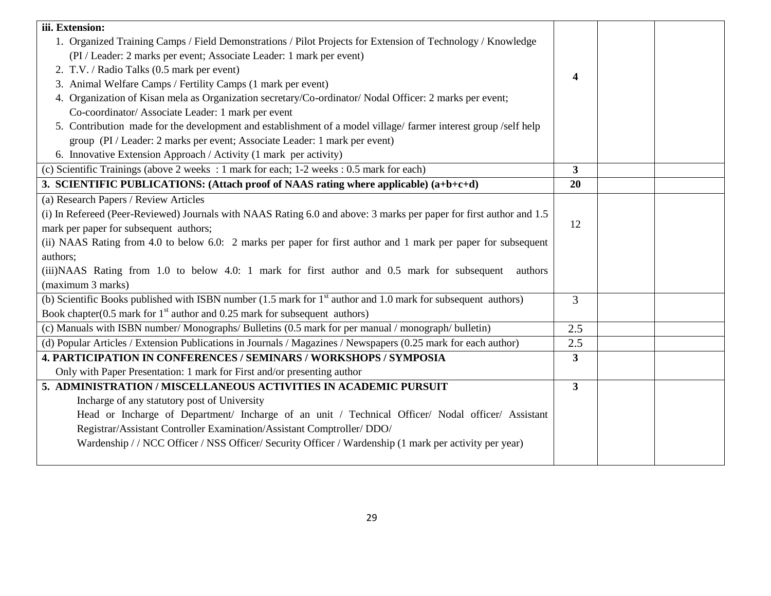| iii. Extension:                                                                                                           |                         |  |
|---------------------------------------------------------------------------------------------------------------------------|-------------------------|--|
| 1. Organized Training Camps / Field Demonstrations / Pilot Projects for Extension of Technology / Knowledge               |                         |  |
| (PI / Leader: 2 marks per event; Associate Leader: 1 mark per event)                                                      |                         |  |
| 2. T.V. / Radio Talks (0.5 mark per event)                                                                                | 4                       |  |
| 3. Animal Welfare Camps / Fertility Camps (1 mark per event)                                                              |                         |  |
| 4. Organization of Kisan mela as Organization secretary/Co-ordinator/ Nodal Officer: 2 marks per event;                   |                         |  |
| Co-coordinator/ Associate Leader: 1 mark per event                                                                        |                         |  |
| 5. Contribution made for the development and establishment of a model village/farmer interest group/self help             |                         |  |
| group (PI / Leader: 2 marks per event; Associate Leader: 1 mark per event)                                                |                         |  |
| 6. Innovative Extension Approach / Activity (1 mark per activity)                                                         |                         |  |
| (c) Scientific Trainings (above 2 weeks : 1 mark for each; 1-2 weeks : 0.5 mark for each)                                 | 3                       |  |
| 3. SCIENTIFIC PUBLICATIONS: (Attach proof of NAAS rating where applicable) (a+b+c+d)                                      | 20                      |  |
| (a) Research Papers / Review Articles                                                                                     |                         |  |
| (i) In Refereed (Peer-Reviewed) Journals with NAAS Rating 6.0 and above: 3 marks per paper for first author and 1.5       |                         |  |
| mark per paper for subsequent authors;                                                                                    | 12                      |  |
| (ii) NAAS Rating from 4.0 to below 6.0: 2 marks per paper for first author and 1 mark per paper for subsequent            |                         |  |
| authors;                                                                                                                  |                         |  |
| (iii) NAAS Rating from 1.0 to below 4.0: 1 mark for first author and 0.5 mark for subsequent<br>authors                   |                         |  |
| (maximum 3 marks)                                                                                                         |                         |  |
| (b) Scientific Books published with ISBN number (1.5 mark for 1 <sup>st</sup> author and 1.0 mark for subsequent authors) | 3                       |  |
| Book chapter( $0.5$ mark for $1st$ author and $0.25$ mark for subsequent authors)                                         |                         |  |
| (c) Manuals with ISBN number/Monographs/Bulletins (0.5 mark for per manual / monograph/ bulletin)                         | 2.5                     |  |
| (d) Popular Articles / Extension Publications in Journals / Magazines / Newspapers (0.25 mark for each author)            | 2.5                     |  |
| <b>4. PARTICIPATION IN CONFERENCES / SEMINARS / WORKSHOPS / SYMPOSIA</b>                                                  | $\overline{\mathbf{3}}$ |  |
| Only with Paper Presentation: 1 mark for First and/or presenting author                                                   |                         |  |
| 5. ADMINISTRATION / MISCELLANEOUS ACTIVITIES IN ACADEMIC PURSUIT                                                          | $\overline{\mathbf{3}}$ |  |
| Incharge of any statutory post of University                                                                              |                         |  |
| Head or Incharge of Department/ Incharge of an unit / Technical Officer/ Nodal officer/ Assistant                         |                         |  |
| Registrar/Assistant Controller Examination/Assistant Comptroller/ DDO/                                                    |                         |  |
| Wardenship // NCC Officer / NSS Officer/ Security Officer / Wardenship (1 mark per activity per year)                     |                         |  |
|                                                                                                                           |                         |  |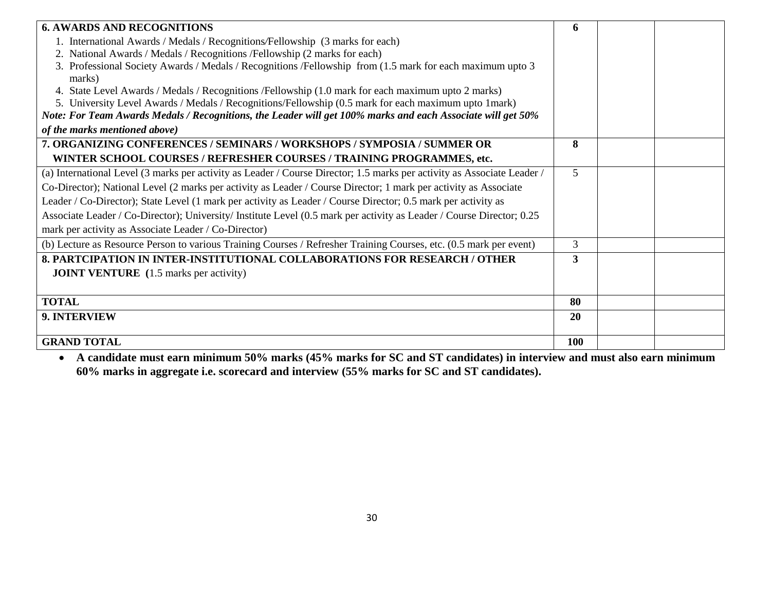| <b>6. AWARDS AND RECOGNITIONS</b>                                                                                       | 6          |  |
|-------------------------------------------------------------------------------------------------------------------------|------------|--|
| 1. International Awards / Medals / Recognitions/Fellowship (3 marks for each)                                           |            |  |
| 2. National Awards / Medals / Recognitions / Fellowship (2 marks for each)                                              |            |  |
| 3. Professional Society Awards / Medals / Recognitions / Fellowship from (1.5 mark for each maximum upto 3<br>marks)    |            |  |
| 4. State Level Awards / Medals / Recognitions / Fellowship (1.0 mark for each maximum upto 2 marks)                     |            |  |
| 5. University Level Awards / Medals / Recognitions/Fellowship (0.5 mark for each maximum upto 1mark)                    |            |  |
| Note: For Team Awards Medals / Recognitions, the Leader will get 100% marks and each Associate will get 50%             |            |  |
| of the marks mentioned above)                                                                                           |            |  |
| 7. ORGANIZING CONFERENCES / SEMINARS / WORKSHOPS / SYMPOSIA / SUMMER OR                                                 | 8          |  |
| WINTER SCHOOL COURSES / REFRESHER COURSES / TRAINING PROGRAMMES, etc.                                                   |            |  |
| (a) International Level (3 marks per activity as Leader / Course Director; 1.5 marks per activity as Associate Leader / | 5          |  |
| Co-Director); National Level (2 marks per activity as Leader / Course Director; 1 mark per activity as Associate        |            |  |
| Leader / Co-Director); State Level (1 mark per activity as Leader / Course Director; 0.5 mark per activity as           |            |  |
| Associate Leader / Co-Director); University/ Institute Level (0.5 mark per activity as Leader / Course Director; 0.25   |            |  |
| mark per activity as Associate Leader / Co-Director)                                                                    |            |  |
| (b) Lecture as Resource Person to various Training Courses / Refresher Training Courses, etc. (0.5 mark per event)      | 3          |  |
| 8. PARTCIPATION IN INTER-INSTITUTIONAL COLLABORATIONS FOR RESEARCH / OTHER                                              | 3          |  |
| <b>JOINT VENTURE</b> (1.5 marks per activity)                                                                           |            |  |
|                                                                                                                         |            |  |
| <b>TOTAL</b>                                                                                                            | 80         |  |
| 9. INTERVIEW                                                                                                            | 20         |  |
|                                                                                                                         |            |  |
| <b>GRAND TOTAL</b>                                                                                                      | <b>100</b> |  |

 **A candidate must earn minimum 50% marks (45% marks for SC and ST candidates) in interview and must also earn minimum 60% marks in aggregate i.e. scorecard and interview (55% marks for SC and ST candidates).**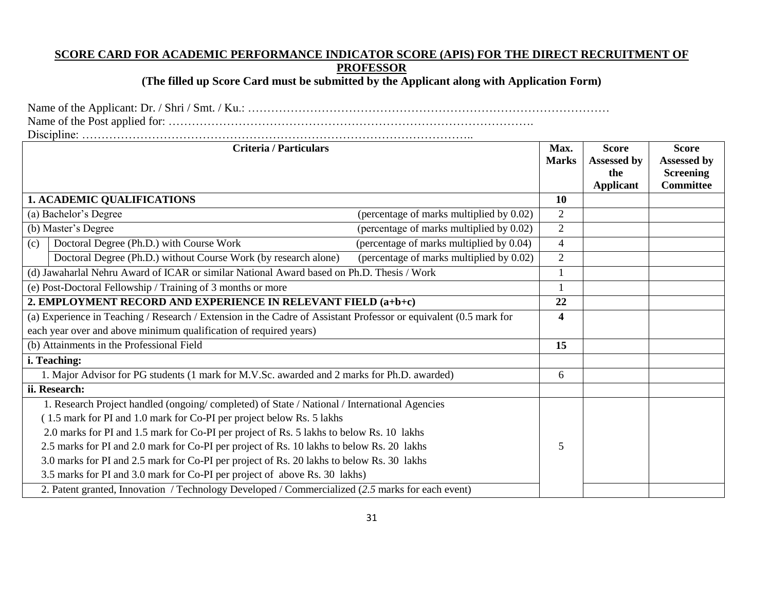## **SCORE CARD FOR ACADEMIC PERFORMANCE INDICATOR SCORE (APIS) FOR THE DIRECT RECRUITMENT OF PROFESSOR**

**(The filled up Score Card must be submitted by the Applicant along with Application Form)**

Name of the Applicant: Dr. / Shri / Smt. / Ku.: ……………………………………………………………………………………… Name of the Post applied for: ………………………………………………………………………………….

Discipline: ………………………………………………………………………………………..

| <b>Criteria / Particulars</b>                                                                                     | Max.<br><b>Marks</b> | <b>Score</b><br>Assessed by | <b>Score</b><br>Assessed by |
|-------------------------------------------------------------------------------------------------------------------|----------------------|-----------------------------|-----------------------------|
|                                                                                                                   |                      | the                         | <b>Screening</b>            |
|                                                                                                                   |                      | <b>Applicant</b>            | <b>Committee</b>            |
| <b>1. ACADEMIC QUALIFICATIONS</b>                                                                                 | 10                   |                             |                             |
| (a) Bachelor's Degree<br>(percentage of marks multiplied by 0.02)                                                 | $\overline{2}$       |                             |                             |
| (b) Master's Degree<br>(percentage of marks multiplied by 0.02)                                                   | $\overline{2}$       |                             |                             |
| Doctoral Degree (Ph.D.) with Course Work<br>(percentage of marks multiplied by 0.04)<br>(c)                       | $\overline{4}$       |                             |                             |
| Doctoral Degree (Ph.D.) without Course Work (by research alone)<br>(percentage of marks multiplied by 0.02)       | $\overline{2}$       |                             |                             |
| (d) Jawaharlal Nehru Award of ICAR or similar National Award based on Ph.D. Thesis / Work                         |                      |                             |                             |
| (e) Post-Doctoral Fellowship / Training of 3 months or more                                                       |                      |                             |                             |
| 2. EMPLOYMENT RECORD AND EXPERIENCE IN RELEVANT FIELD (a+b+c)                                                     | 22                   |                             |                             |
| (a) Experience in Teaching / Research / Extension in the Cadre of Assistant Professor or equivalent (0.5 mark for | 4                    |                             |                             |
| each year over and above minimum qualification of required years)                                                 |                      |                             |                             |
| (b) Attainments in the Professional Field                                                                         | 15                   |                             |                             |
| i. Teaching:                                                                                                      |                      |                             |                             |
| 1. Major Advisor for PG students (1 mark for M.V.Sc. awarded and 2 marks for Ph.D. awarded)                       | 6                    |                             |                             |
| ii. Research:                                                                                                     |                      |                             |                             |
| 1. Research Project handled (ongoing/completed) of State / National / International Agencies                      |                      |                             |                             |
| (1.5 mark for PI and 1.0 mark for Co-PI per project below Rs. 5 lakhs                                             |                      |                             |                             |
| 2.0 marks for PI and 1.5 mark for Co-PI per project of Rs. 5 lakhs to below Rs. 10 lakhs                          |                      |                             |                             |
| 2.5 marks for PI and 2.0 mark for Co-PI per project of Rs. 10 lakhs to below Rs. 20 lakhs                         | 5                    |                             |                             |
| 3.0 marks for PI and 2.5 mark for Co-PI per project of Rs. 20 lakhs to below Rs. 30 lakhs                         |                      |                             |                             |
| 3.5 marks for PI and 3.0 mark for Co-PI per project of above Rs. 30 lakhs)                                        |                      |                             |                             |
| 2. Patent granted, Innovation / Technology Developed / Commercialized (2.5 marks for each event)                  |                      |                             |                             |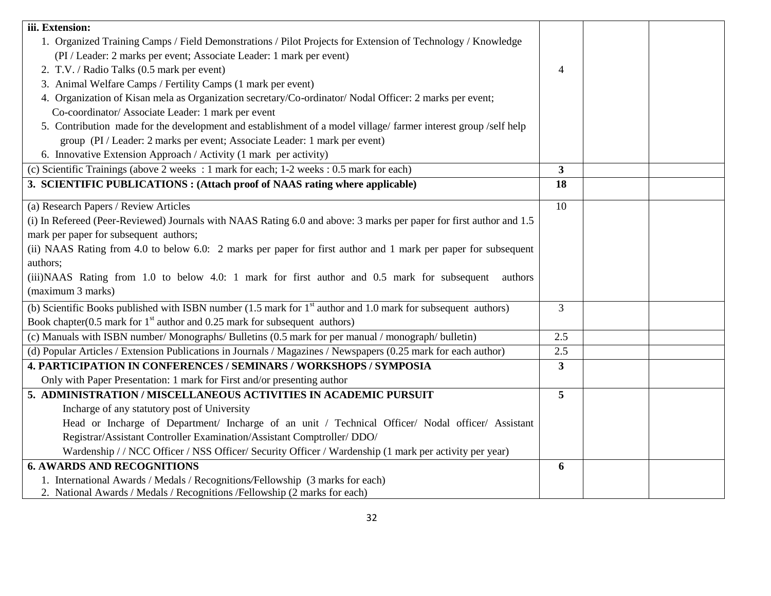| iii. Extension:                                                                                                                                    |                |  |
|----------------------------------------------------------------------------------------------------------------------------------------------------|----------------|--|
| 1. Organized Training Camps / Field Demonstrations / Pilot Projects for Extension of Technology / Knowledge                                        |                |  |
| (PI / Leader: 2 marks per event; Associate Leader: 1 mark per event)                                                                               |                |  |
| 2. T.V. / Radio Talks (0.5 mark per event)                                                                                                         | $\overline{4}$ |  |
| 3. Animal Welfare Camps / Fertility Camps (1 mark per event)                                                                                       |                |  |
| 4. Organization of Kisan mela as Organization secretary/Co-ordinator/ Nodal Officer: 2 marks per event;                                            |                |  |
| Co-coordinator/ Associate Leader: 1 mark per event                                                                                                 |                |  |
| 5. Contribution made for the development and establishment of a model village/farmer interest group/self help                                      |                |  |
| group (PI / Leader: 2 marks per event; Associate Leader: 1 mark per event)                                                                         |                |  |
| 6. Innovative Extension Approach / Activity (1 mark per activity)                                                                                  |                |  |
| (c) Scientific Trainings (above 2 weeks : 1 mark for each; 1-2 weeks : 0.5 mark for each)                                                          | $\mathbf{3}$   |  |
| 3. SCIENTIFIC PUBLICATIONS : (Attach proof of NAAS rating where applicable)                                                                        | 18             |  |
| (a) Research Papers / Review Articles                                                                                                              | 10             |  |
| (i) In Refereed (Peer-Reviewed) Journals with NAAS Rating 6.0 and above: 3 marks per paper for first author and 1.5                                |                |  |
| mark per paper for subsequent authors;                                                                                                             |                |  |
| (ii) NAAS Rating from 4.0 to below 6.0: 2 marks per paper for first author and 1 mark per paper for subsequent                                     |                |  |
| authors;                                                                                                                                           |                |  |
| (iii) NAAS Rating from 1.0 to below 4.0: 1 mark for first author and 0.5 mark for subsequent<br>authors                                            |                |  |
| (maximum 3 marks)                                                                                                                                  |                |  |
| (b) Scientific Books published with ISBN number $(1.5 \text{ mark for } 1^{\text{st}}\text{ author and } 1.0 \text{ mark for subsequent authors})$ | $\overline{3}$ |  |
| Book chapter(0.5 mark for $1st$ author and 0.25 mark for subsequent authors)                                                                       |                |  |
| (c) Manuals with ISBN number/Monographs/Bulletins (0.5 mark for per manual / monograph/ bulletin)                                                  | 2.5            |  |
| (d) Popular Articles / Extension Publications in Journals / Magazines / Newspapers (0.25 mark for each author)                                     | 2.5            |  |
| 4. PARTICIPATION IN CONFERENCES / SEMINARS / WORKSHOPS / SYMPOSIA                                                                                  | $\mathbf{3}$   |  |
| Only with Paper Presentation: 1 mark for First and/or presenting author                                                                            |                |  |
| 5. ADMINISTRATION / MISCELLANEOUS ACTIVITIES IN ACADEMIC PURSUIT                                                                                   | 5              |  |
| Incharge of any statutory post of University                                                                                                       |                |  |
| Head or Incharge of Department/ Incharge of an unit / Technical Officer/ Nodal officer/ Assistant                                                  |                |  |
| Registrar/Assistant Controller Examination/Assistant Comptroller/ DDO/                                                                             |                |  |
| Wardenship // NCC Officer / NSS Officer/ Security Officer / Wardenship (1 mark per activity per year)                                              |                |  |
| <b>6. AWARDS AND RECOGNITIONS</b>                                                                                                                  | 6              |  |
| 1. International Awards / Medals / Recognitions/Fellowship (3 marks for each)                                                                      |                |  |
| 2. National Awards / Medals / Recognitions / Fellowship (2 marks for each)                                                                         |                |  |